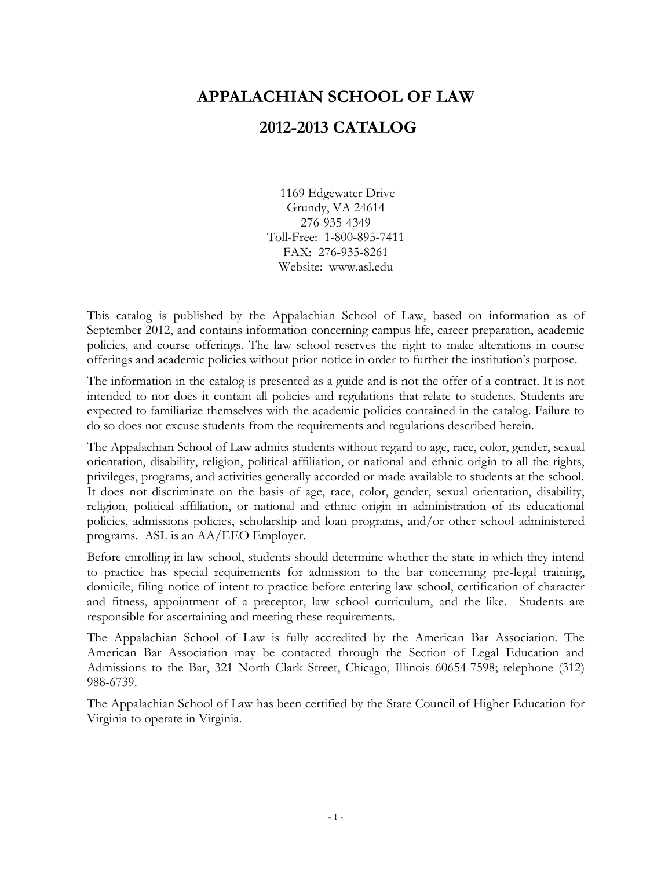# **APPALACHIAN SCHOOL OF LAW**

# **2012-2013 CATALOG**

1169 Edgewater Drive Grundy, VA 24614 276-935-4349 Toll-Free: 1-800-895-7411 FAX: 276-935-8261 Website: www.asl.edu

This catalog is published by the Appalachian School of Law, based on information as of September 2012, and contains information concerning campus life, career preparation, academic policies, and course offerings. The law school reserves the right to make alterations in course offerings and academic policies without prior notice in order to further the institution's purpose.

The information in the catalog is presented as a guide and is not the offer of a contract. It is not intended to nor does it contain all policies and regulations that relate to students. Students are expected to familiarize themselves with the academic policies contained in the catalog. Failure to do so does not excuse students from the requirements and regulations described herein.

The Appalachian School of Law admits students without regard to age, race, color, gender, sexual orientation, disability, religion, political affiliation, or national and ethnic origin to all the rights, privileges, programs, and activities generally accorded or made available to students at the school. It does not discriminate on the basis of age, race, color, gender, sexual orientation, disability, religion, political affiliation, or national and ethnic origin in administration of its educational policies, admissions policies, scholarship and loan programs, and/or other school administered programs. ASL is an AA/EEO Employer.

Before enrolling in law school, students should determine whether the state in which they intend to practice has special requirements for admission to the bar concerning pre-legal training, domicile, filing notice of intent to practice before entering law school, certification of character and fitness, appointment of a preceptor, law school curriculum, and the like. Students are responsible for ascertaining and meeting these requirements.

The Appalachian School of Law is fully accredited by the American Bar Association. The American Bar Association may be contacted through the Section of Legal Education and Admissions to the Bar, 321 North Clark Street, Chicago, Illinois 60654-7598; telephone (312) 988-6739.

The Appalachian School of Law has been certified by the State Council of Higher Education for Virginia to operate in Virginia.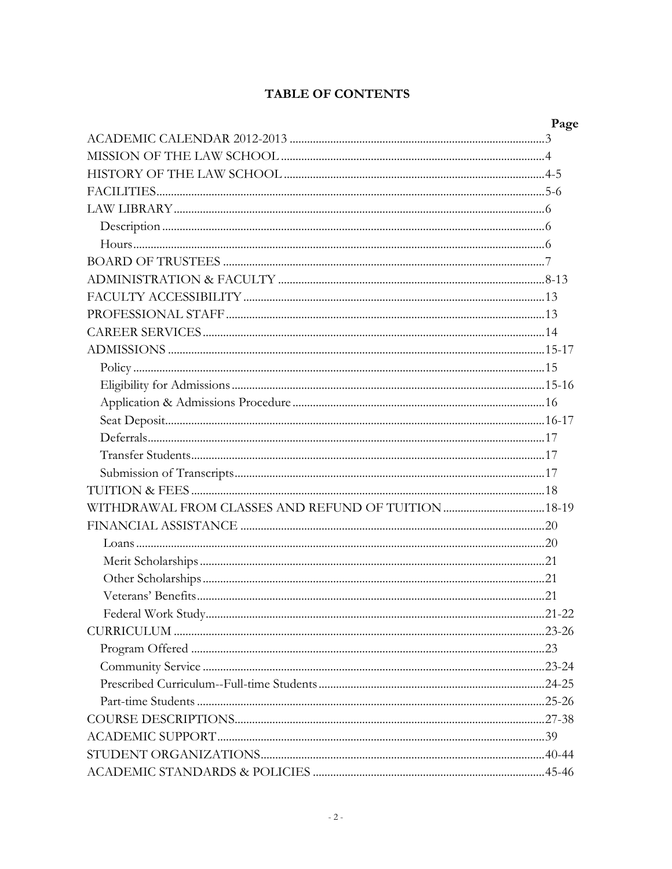#### **TABLE OF CONTENTS**

| Page |
|------|
|      |
|      |
|      |
|      |
|      |
|      |
|      |
|      |
|      |
|      |
|      |
|      |
|      |
|      |
|      |
|      |
|      |
|      |
|      |
|      |
|      |
|      |
|      |
|      |
|      |
|      |
|      |
|      |
|      |
|      |
|      |
|      |
|      |
|      |
|      |
|      |
|      |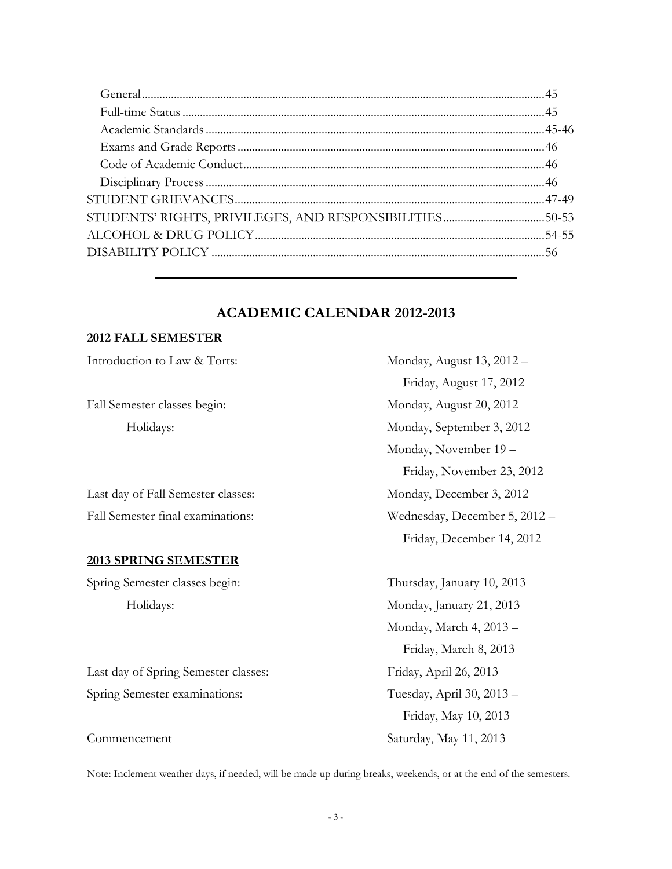#### **ACADEMIC CALENDAR 2012-2013**

#### **2012 FALL SEMESTER**

| Introduction to Law & Torts:         | Monday, August 13, 2012 -     |
|--------------------------------------|-------------------------------|
|                                      | Friday, August 17, 2012       |
| Fall Semester classes begin:         | Monday, August 20, 2012       |
| Holidays:                            | Monday, September 3, 2012     |
|                                      | Monday, November 19 –         |
|                                      | Friday, November 23, 2012     |
| Last day of Fall Semester classes:   | Monday, December 3, 2012      |
| Fall Semester final examinations:    | Wednesday, December 5, 2012 - |
|                                      | Friday, December 14, 2012     |
| <b>2013 SPRING SEMESTER</b>          |                               |
| Spring Semester classes begin:       | Thursday, January 10, 2013    |
| Holidays:                            | Monday, January 21, 2013      |
|                                      | Monday, March 4, 2013 -       |
|                                      | Friday, March 8, 2013         |
| Last day of Spring Semester classes: | Friday, April 26, 2013        |

Spring Semester examinations: Tuesday, April 30, 2013 –

Commencement Saturday, May 11, 2013

Note: Inclement weather days, if needed, will be made up during breaks, weekends, or at the end of the semesters.

Friday, May 10, 2013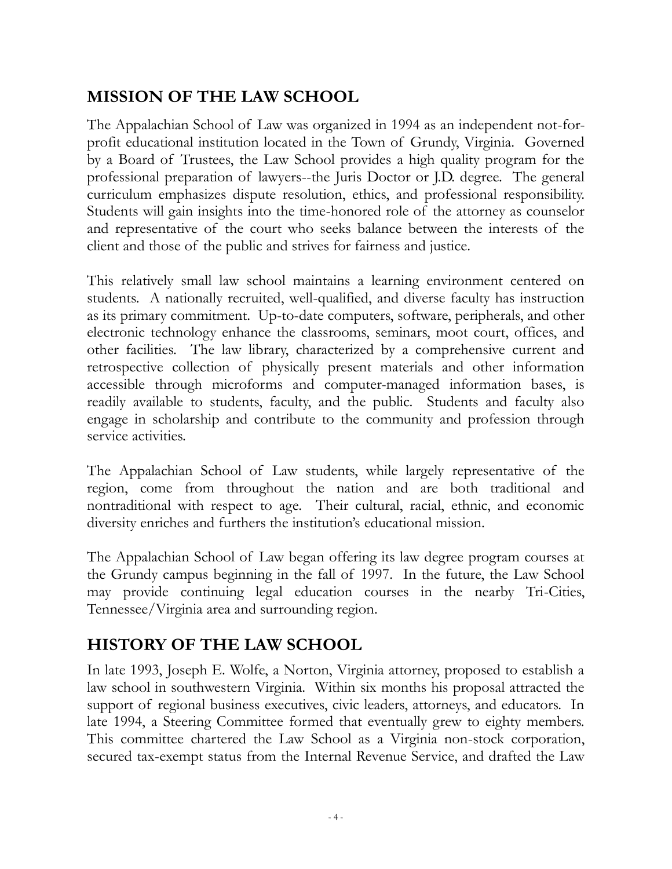# **MISSION OF THE LAW SCHOOL**

The Appalachian School of Law was organized in 1994 as an independent not-forprofit educational institution located in the Town of Grundy, Virginia. Governed by a Board of Trustees, the Law School provides a high quality program for the professional preparation of lawyers--the Juris Doctor or J.D. degree. The general curriculum emphasizes dispute resolution, ethics, and professional responsibility. Students will gain insights into the time-honored role of the attorney as counselor and representative of the court who seeks balance between the interests of the client and those of the public and strives for fairness and justice.

This relatively small law school maintains a learning environment centered on students. A nationally recruited, well-qualified, and diverse faculty has instruction as its primary commitment. Up-to-date computers, software, peripherals, and other electronic technology enhance the classrooms, seminars, moot court, offices, and other facilities. The law library, characterized by a comprehensive current and retrospective collection of physically present materials and other information accessible through microforms and computer-managed information bases, is readily available to students, faculty, and the public. Students and faculty also engage in scholarship and contribute to the community and profession through service activities.

The Appalachian School of Law students, while largely representative of the region, come from throughout the nation and are both traditional and nontraditional with respect to age. Their cultural, racial, ethnic, and economic diversity enriches and furthers the institution's educational mission.

The Appalachian School of Law began offering its law degree program courses at the Grundy campus beginning in the fall of 1997. In the future, the Law School may provide continuing legal education courses in the nearby Tri-Cities, Tennessee/Virginia area and surrounding region.

# **HISTORY OF THE LAW SCHOOL**

In late 1993, Joseph E. Wolfe, a Norton, Virginia attorney, proposed to establish a law school in southwestern Virginia. Within six months his proposal attracted the support of regional business executives, civic leaders, attorneys, and educators. In late 1994, a Steering Committee formed that eventually grew to eighty members. This committee chartered the Law School as a Virginia non-stock corporation, secured tax-exempt status from the Internal Revenue Service, and drafted the Law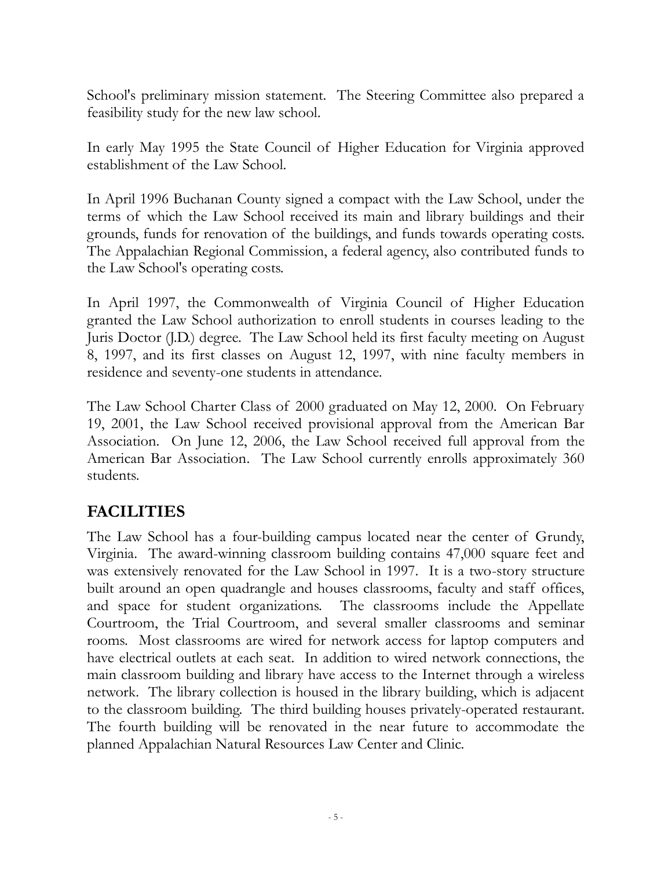School's preliminary mission statement. The Steering Committee also prepared a feasibility study for the new law school.

In early May 1995 the State Council of Higher Education for Virginia approved establishment of the Law School.

In April 1996 Buchanan County signed a compact with the Law School, under the terms of which the Law School received its main and library buildings and their grounds, funds for renovation of the buildings, and funds towards operating costs. The Appalachian Regional Commission, a federal agency, also contributed funds to the Law School's operating costs.

In April 1997, the Commonwealth of Virginia Council of Higher Education granted the Law School authorization to enroll students in courses leading to the Juris Doctor (J.D.) degree. The Law School held its first faculty meeting on August 8, 1997, and its first classes on August 12, 1997, with nine faculty members in residence and seventy-one students in attendance.

The Law School Charter Class of 2000 graduated on May 12, 2000. On February 19, 2001, the Law School received provisional approval from the American Bar Association. On June 12, 2006, the Law School received full approval from the American Bar Association. The Law School currently enrolls approximately 360 students.

# **FACILITIES**

The Law School has a four-building campus located near the center of Grundy, Virginia. The award-winning classroom building contains 47,000 square feet and was extensively renovated for the Law School in 1997. It is a two-story structure built around an open quadrangle and houses classrooms, faculty and staff offices, and space for student organizations. The classrooms include the Appellate Courtroom, the Trial Courtroom, and several smaller classrooms and seminar rooms. Most classrooms are wired for network access for laptop computers and have electrical outlets at each seat. In addition to wired network connections, the main classroom building and library have access to the Internet through a wireless network. The library collection is housed in the library building, which is adjacent to the classroom building. The third building houses privately-operated restaurant. The fourth building will be renovated in the near future to accommodate the planned Appalachian Natural Resources Law Center and Clinic.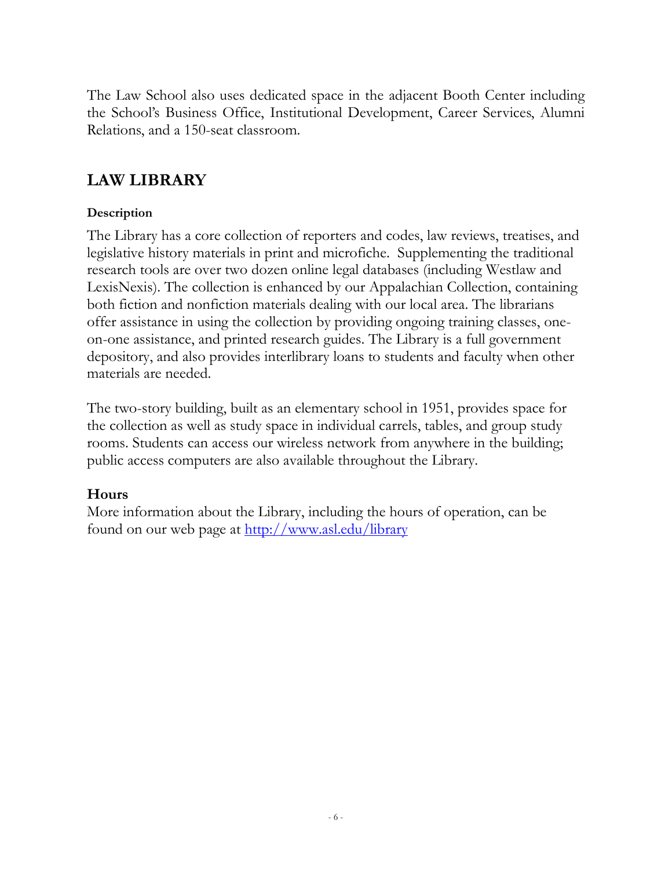The Law School also uses dedicated space in the adjacent Booth Center including the School's Business Office, Institutional Development, Career Services, Alumni Relations, and a 150-seat classroom.

# **LAW LIBRARY**

#### **Description**

The Library has a core collection of reporters and codes, law reviews, treatises, and legislative history materials in print and microfiche. Supplementing the traditional research tools are over two dozen online legal databases (including Westlaw and LexisNexis). The collection is enhanced by our Appalachian Collection, containing both fiction and nonfiction materials dealing with our local area. The librarians offer assistance in using the collection by providing ongoing training classes, oneon-one assistance, and printed research guides. The Library is a full government depository, and also provides interlibrary loans to students and faculty when other materials are needed.

The two-story building, built as an elementary school in 1951, provides space for the collection as well as study space in individual carrels, tables, and group study rooms. Students can access our wireless network from anywhere in the building; public access computers are also available throughout the Library.

#### **Hours**

More information about the Library, including the hours of operation, can be found on our web page at <u>http://www.asl.edu/library</u>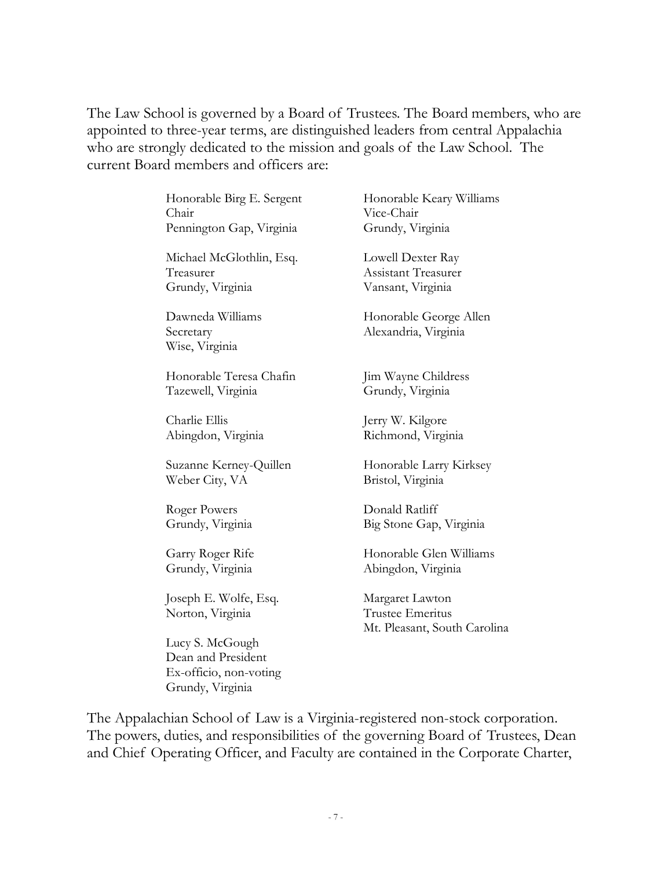The Law School is governed by a Board of Trustees. The Board members, who are appointed to three-year terms, are distinguished leaders from central Appalachia who are strongly dedicated to the mission and goals of the Law School. The current Board members and officers are:

> Honorable Birg E. Sergent Honorable Keary Williams Chair Vice-Chair Pennington Gap, Virginia Grundy, Virginia

Michael McGlothlin, Esq. Lowell Dexter Ray Treasurer Assistant Treasurer Grundy, Virginia Vansant, Virginia

Wise, Virginia

Honorable Teresa Chafin Jim Wayne Childress Tazewell, Virginia Grundy, Virginia

Charlie Ellis Jerry W. Kilgore

Weber City, VA Bristol, Virginia

Roger Powers Donald Ratliff

Joseph E. Wolfe, Esq. Margaret Lawton Norton, Virginia Trustee Emeritus

Lucy S. McGough Dean and President Ex-officio, non-voting Grundy, Virginia

Dawneda Williams Honorable George Allen Secretary Alexandria, Virginia

Abingdon, Virginia Richmond, Virginia

Suzanne Kerney-Quillen Honorable Larry Kirksey

Grundy, Virginia Big Stone Gap, Virginia

Garry Roger Rife Honorable Glen Williams Grundy, Virginia Abingdon, Virginia

Mt. Pleasant, South Carolina

The Appalachian School of Law is a Virginia-registered non-stock corporation. The powers, duties, and responsibilities of the governing Board of Trustees, Dean and Chief Operating Officer, and Faculty are contained in the Corporate Charter,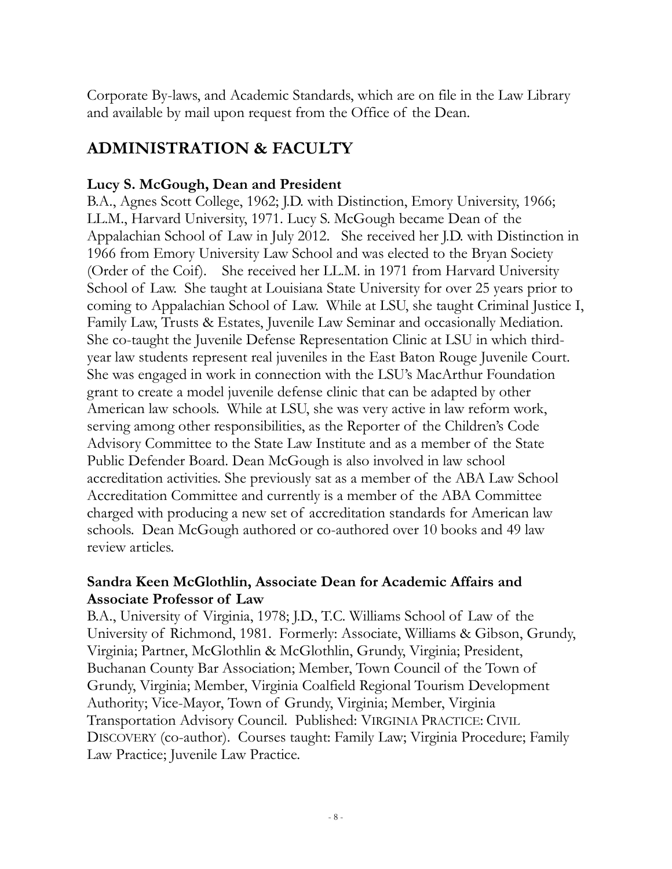Corporate By-laws, and Academic Standards, which are on file in the Law Library and available by mail upon request from the Office of the Dean.

# **ADMINISTRATION & FACULTY**

# **Lucy S. McGough, Dean and President**

B.A., Agnes Scott College, 1962; J.D. with Distinction, Emory University, 1966; LL.M., Harvard University, 1971. Lucy S. McGough became Dean of the Appalachian School of Law in July 2012. She received her J.D. with Distinction in 1966 from Emory University Law School and was elected to the Bryan Society (Order of the Coif). She received her LL.M. in 1971 from Harvard University School of Law. She taught at Louisiana State University for over 25 years prior to coming to Appalachian School of Law. While at LSU, she taught Criminal Justice I, Family Law, Trusts & Estates, Juvenile Law Seminar and occasionally Mediation. She co-taught the Juvenile Defense Representation Clinic at LSU in which thirdyear law students represent real juveniles in the East Baton Rouge Juvenile Court. She was engaged in work in connection with the LSU's MacArthur Foundation grant to create a model juvenile defense clinic that can be adapted by other American law schools. While at LSU, she was very active in law reform work, serving among other responsibilities, as the Reporter of the Children's Code Advisory Committee to the State Law Institute and as a member of the State Public Defender Board. Dean McGough is also involved in law school accreditation activities. She previously sat as a member of the ABA Law School Accreditation Committee and currently is a member of the ABA Committee charged with producing a new set of accreditation standards for American law schools. Dean McGough authored or co-authored over 10 books and 49 law review articles.

### **Sandra Keen McGlothlin, Associate Dean for Academic Affairs and Associate Professor of Law**

B.A., University of Virginia, 1978; J.D., T.C. Williams School of Law of the University of Richmond, 1981. Formerly: Associate, Williams & Gibson, Grundy, Virginia; Partner, McGlothlin & McGlothlin, Grundy, Virginia; President, Buchanan County Bar Association; Member, Town Council of the Town of Grundy, Virginia; Member, Virginia Coalfield Regional Tourism Development Authority; Vice-Mayor, Town of Grundy, Virginia; Member, Virginia Transportation Advisory Council. Published: VIRGINIA PRACTICE: CIVIL DISCOVERY (co-author). Courses taught: Family Law; Virginia Procedure; Family Law Practice; Juvenile Law Practice.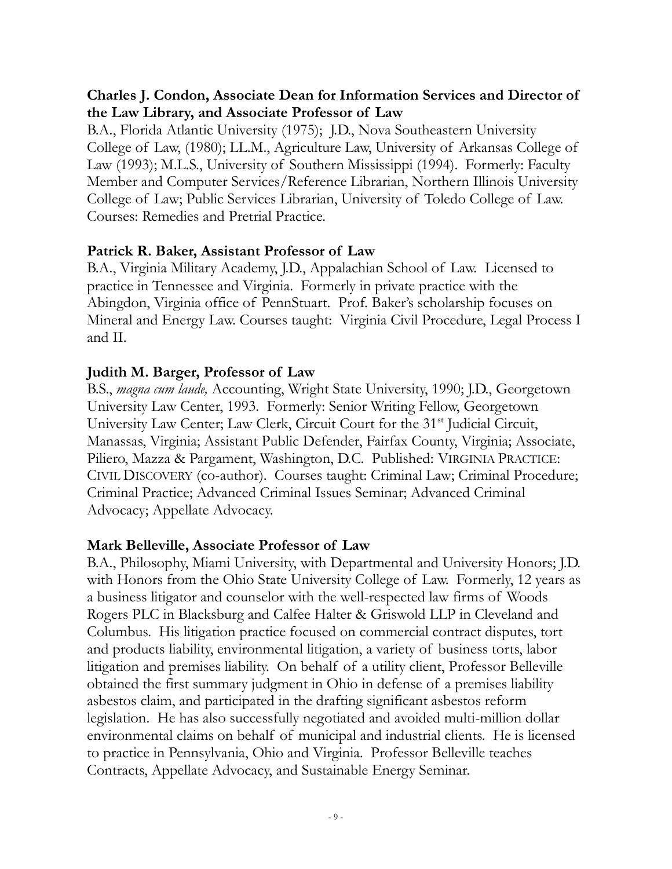### **Charles J. Condon, Associate Dean for Information Services and Director of the Law Library, and Associate Professor of Law**

B.A., Florida Atlantic University (1975); J.D., Nova Southeastern University College of Law, (1980); LL.M., Agriculture Law, University of Arkansas College of Law (1993); M.L.S., University of Southern Mississippi (1994). Formerly: Faculty Member and Computer Services/Reference Librarian, Northern Illinois University College of Law; Public Services Librarian, University of Toledo College of Law. Courses: Remedies and Pretrial Practice.

#### **Patrick R. Baker, Assistant Professor of Law**

B.A., Virginia Military Academy, J.D., Appalachian School of Law. Licensed to practice in Tennessee and Virginia. Formerly in private practice with the Abingdon, Virginia office of PennStuart. Prof. Baker's scholarship focuses on Mineral and Energy Law. Courses taught: Virginia Civil Procedure, Legal Process I and II.

#### **Judith M. Barger, Professor of Law**

B.S., *magna cum laude,* Accounting, Wright State University, 1990; J.D., Georgetown University Law Center, 1993. Formerly: Senior Writing Fellow, Georgetown University Law Center; Law Clerk, Circuit Court for the 31<sup>st</sup> Judicial Circuit, Manassas, Virginia; Assistant Public Defender, Fairfax County, Virginia; Associate, Piliero, Mazza & Pargament, Washington, D.C. Published: VIRGINIA PRACTICE: CIVIL DISCOVERY (co-author). Courses taught: Criminal Law; Criminal Procedure; Criminal Practice; Advanced Criminal Issues Seminar; Advanced Criminal Advocacy; Appellate Advocacy.

#### **Mark Belleville, Associate Professor of Law**

B.A., Philosophy, Miami University, with Departmental and University Honors; J.D. with Honors from the Ohio State University College of Law. Formerly, 12 years as a business litigator and counselor with the well-respected law firms of Woods Rogers PLC in Blacksburg and Calfee Halter & Griswold LLP in Cleveland and Columbus. His litigation practice focused on commercial contract disputes, tort and products liability, environmental litigation, a variety of business torts, labor litigation and premises liability. On behalf of a utility client, Professor Belleville obtained the first summary judgment in Ohio in defense of a premises liability asbestos claim, and participated in the drafting significant asbestos reform legislation. He has also successfully negotiated and avoided multi-million dollar environmental claims on behalf of municipal and industrial clients. He is licensed to practice in Pennsylvania, Ohio and Virginia. Professor Belleville teaches Contracts, Appellate Advocacy, and Sustainable Energy Seminar.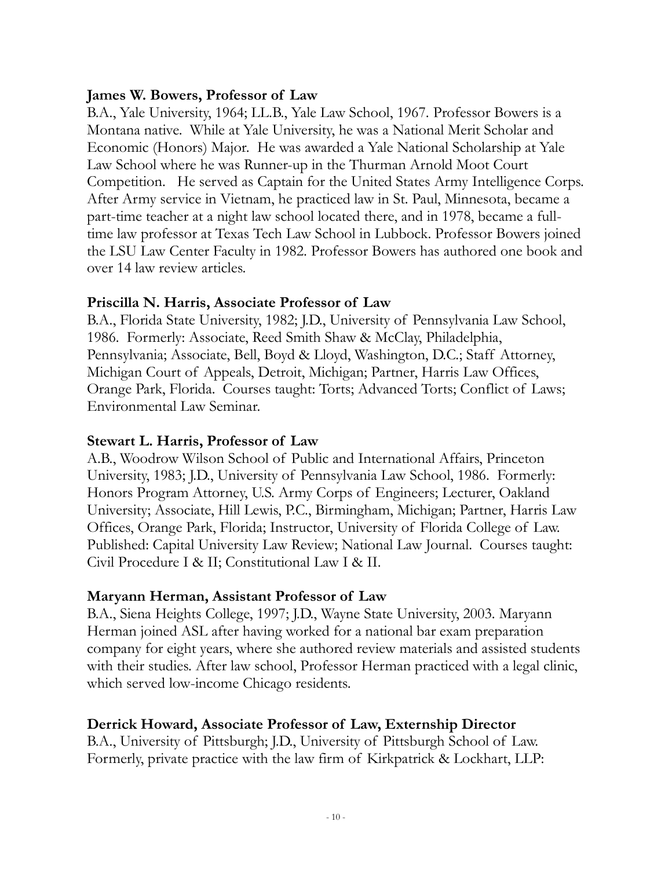#### **James W. Bowers, Professor of Law**

B.A., Yale University, 1964; LL.B., Yale Law School, 1967. Professor Bowers is a Montana native. While at Yale University, he was a National Merit Scholar and Economic (Honors) Major. He was awarded a Yale National Scholarship at Yale Law School where he was Runner-up in the Thurman Arnold Moot Court Competition. He served as Captain for the United States Army Intelligence Corps. After Army service in Vietnam, he practiced law in St. Paul, Minnesota, became a part-time teacher at a night law school located there, and in 1978, became a fulltime law professor at Texas Tech Law School in Lubbock. Professor Bowers joined the LSU Law Center Faculty in 1982. Professor Bowers has authored one book and over 14 law review articles.

### **Priscilla N. Harris, Associate Professor of Law**

B.A., Florida State University, 1982; J.D., University of Pennsylvania Law School, 1986. Formerly: Associate, Reed Smith Shaw & McClay, Philadelphia, Pennsylvania; Associate, Bell, Boyd & Lloyd, Washington, D.C.; Staff Attorney, Michigan Court of Appeals, Detroit, Michigan; Partner, Harris Law Offices, Orange Park, Florida. Courses taught: Torts; Advanced Torts; Conflict of Laws; Environmental Law Seminar.

#### **Stewart L. Harris, Professor of Law**

A.B., Woodrow Wilson School of Public and International Affairs, Princeton University, 1983; J.D., University of Pennsylvania Law School, 1986. Formerly: Honors Program Attorney, U.S. Army Corps of Engineers; Lecturer, Oakland University; Associate, Hill Lewis, P.C., Birmingham, Michigan; Partner, Harris Law Offices, Orange Park, Florida; Instructor, University of Florida College of Law. Published: Capital University Law Review; National Law Journal. Courses taught: Civil Procedure I & II; Constitutional Law I & II.

# **Maryann Herman, Assistant Professor of Law**

B.A., Siena Heights College, 1997; J.D., Wayne State University, 2003. Maryann Herman joined ASL after having worked for a national bar exam preparation company for eight years, where she authored review materials and assisted students with their studies. After law school, Professor Herman practiced with a legal clinic, which served low-income Chicago residents.

# **Derrick Howard, Associate Professor of Law, Externship Director**

B.A., University of Pittsburgh; J.D., University of Pittsburgh School of Law. Formerly, private practice with the law firm of Kirkpatrick & Lockhart, LLP: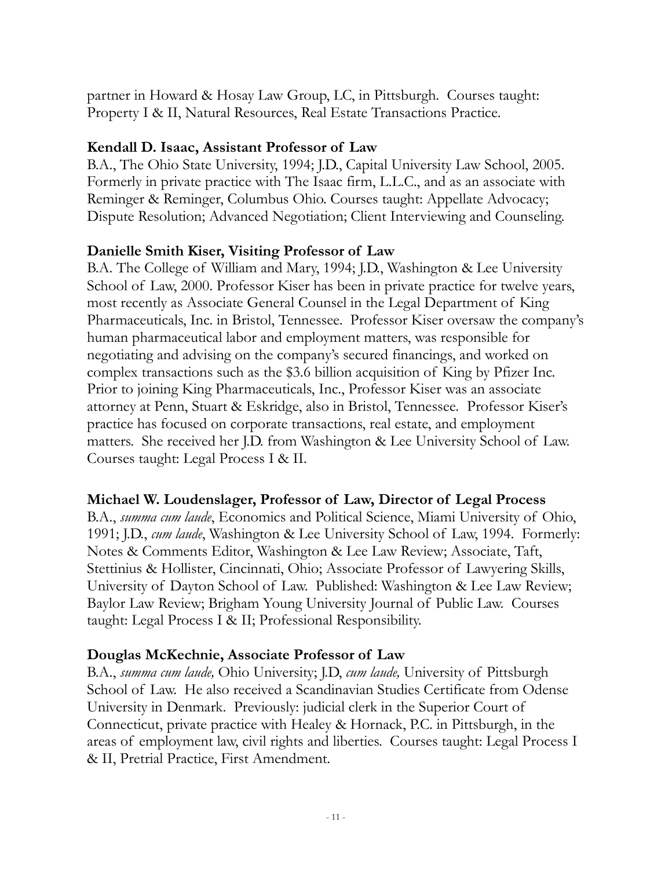partner in Howard & Hosay Law Group, LC, in Pittsburgh. Courses taught: Property I & II, Natural Resources, Real Estate Transactions Practice.

#### **Kendall D. Isaac, Assistant Professor of Law**

B.A., The Ohio State University, 1994; J.D., Capital University Law School, 2005. Formerly in private practice with The Isaac firm, L.L.C., and as an associate with Reminger & Reminger, Columbus Ohio. Courses taught: Appellate Advocacy; Dispute Resolution; Advanced Negotiation; Client Interviewing and Counseling.

### **Danielle Smith Kiser, Visiting Professor of Law**

B.A. The College of William and Mary, 1994; J.D., Washington & Lee University School of Law, 2000. Professor Kiser has been in private practice for twelve years, most recently as Associate General Counsel in the Legal Department of King Pharmaceuticals, Inc. in Bristol, Tennessee. Professor Kiser oversaw the company's human pharmaceutical labor and employment matters, was responsible for negotiating and advising on the company's secured financings, and worked on complex transactions such as the \$3.6 billion acquisition of King by Pfizer Inc. Prior to joining King Pharmaceuticals, Inc., Professor Kiser was an associate attorney at Penn, Stuart & Eskridge, also in Bristol, Tennessee. Professor Kiser's practice has focused on corporate transactions, real estate, and employment matters. She received her J.D. from Washington & Lee University School of Law. Courses taught: Legal Process I & II.

#### **Michael W. Loudenslager, Professor of Law, Director of Legal Process**

B.A., *summa cum laude*, Economics and Political Science, Miami University of Ohio, 1991; J.D., *cum laude*, Washington & Lee University School of Law, 1994. Formerly: Notes & Comments Editor, Washington & Lee Law Review; Associate, Taft, Stettinius & Hollister, Cincinnati, Ohio; Associate Professor of Lawyering Skills, University of Dayton School of Law. Published: Washington & Lee Law Review; Baylor Law Review; Brigham Young University Journal of Public Law. Courses taught: Legal Process I & II; Professional Responsibility.

#### **Douglas McKechnie, Associate Professor of Law**

B.A., *summa cum laude,* Ohio University; J.D, *cum laude,* University of Pittsburgh School of Law. He also received a Scandinavian Studies Certificate from Odense University in Denmark. Previously: judicial clerk in the Superior Court of Connecticut, private practice with Healey & Hornack, P.C. in Pittsburgh, in the areas of employment law, civil rights and liberties. Courses taught: Legal Process I & II, Pretrial Practice, First Amendment.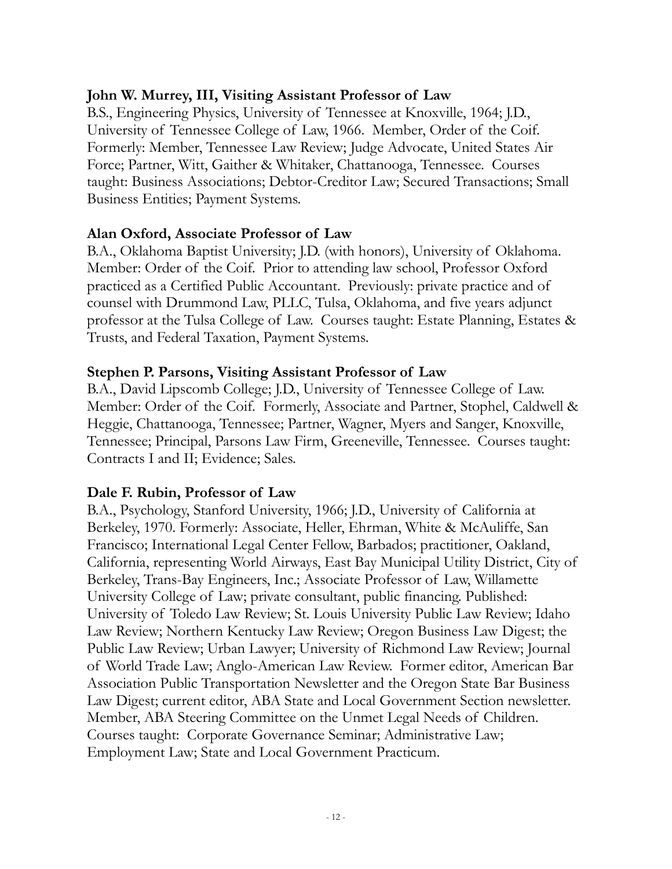#### **John W. Murrey, III, Visiting Assistant Professor of Law**

B.S., Engineering Physics, University of Tennessee at Knoxville, 1964; J.D., University of Tennessee College of Law, 1966. Member, Order of the Coif. Formerly: Member, Tennessee Law Review; Judge Advocate, United States Air Force; Partner, Witt, Gaither & Whitaker, Chattanooga, Tennessee. Courses taught: Business Associations; Debtor-Creditor Law; Secured Transactions; Small Business Entities; Payment Systems.

#### **Alan Oxford, Associate Professor of Law**

B.A., Oklahoma Baptist University; J.D. (with honors), University of Oklahoma. Member: Order of the Coif. Prior to attending law school, Professor Oxford practiced as a Certified Public Accountant. Previously: private practice and of counsel with Drummond Law, PLLC, Tulsa, Oklahoma, and five years adjunct professor at the Tulsa College of Law. Courses taught: Estate Planning, Estates & Trusts, and Federal Taxation, Payment Systems.

#### **Stephen P. Parsons, Visiting Assistant Professor of Law**

B.A., David Lipscomb College; J.D., University of Tennessee College of Law. Member: Order of the Coif. Formerly, Associate and Partner, Stophel, Caldwell & Heggie, Chattanooga, Tennessee; Partner, Wagner, Myers and Sanger, Knoxville, Tennessee; Principal, Parsons Law Firm, Greeneville, Tennessee. Courses taught: Contracts I and II; Evidence; Sales.

#### **Dale F. Rubin, Professor of Law**

B.A., Psychology, Stanford University, 1966; J.D., University of California at Berkeley, 1970. Formerly: Associate, Heller, Ehrman, White & McAuliffe, San Francisco; International Legal Center Fellow, Barbados; practitioner, Oakland, California, representing World Airways, East Bay Municipal Utility District, City of Berkeley, Trans-Bay Engineers, Inc.; Associate Professor of Law, Willamette University College of Law; private consultant, public financing. Published: University of Toledo Law Review; St. Louis University Public Law Review; Idaho Law Review; Northern Kentucky Law Review; Oregon Business Law Digest; the Public Law Review; Urban Lawyer; University of Richmond Law Review; Journal of World Trade Law; Anglo-American Law Review. Former editor, American Bar Association Public Transportation Newsletter and the Oregon State Bar Business Law Digest; current editor, ABA State and Local Government Section newsletter. Member, ABA Steering Committee on the Unmet Legal Needs of Children. Courses taught: Corporate Governance Seminar; Administrative Law; Employment Law; State and Local Government Practicum.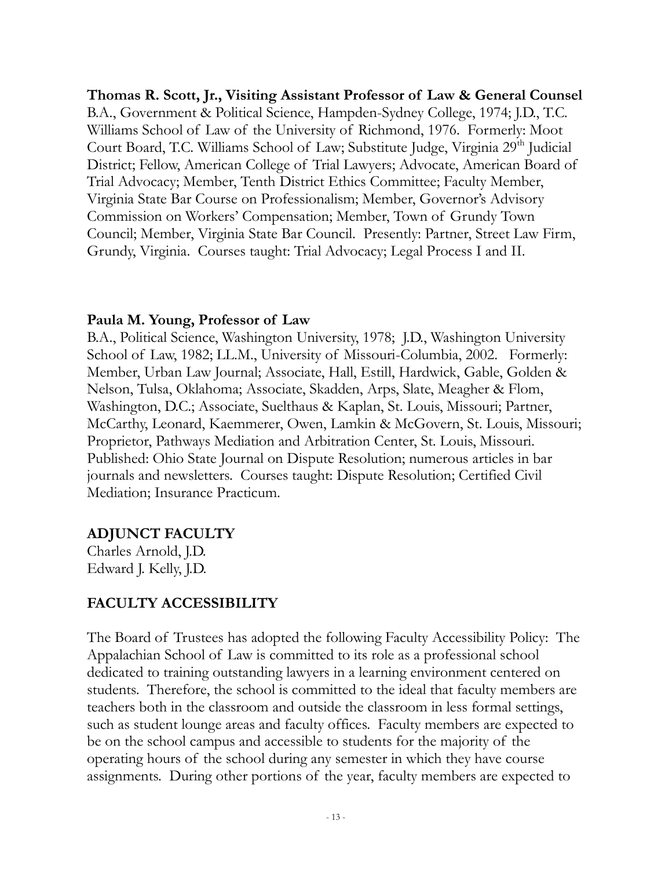**Thomas R. Scott, Jr., Visiting Assistant Professor of Law & General Counsel**  B.A., Government & Political Science, Hampden-Sydney College, 1974; J.D., T.C. Williams School of Law of the University of Richmond, 1976. Formerly: Moot Court Board, T.C. Williams School of Law; Substitute Judge, Virginia 29<sup>th</sup> Judicial District; Fellow, American College of Trial Lawyers; Advocate, American Board of Trial Advocacy; Member, Tenth District Ethics Committee; Faculty Member, Virginia State Bar Course on Professionalism; Member, Governor's Advisory Commission on Workers' Compensation; Member, Town of Grundy Town Council; Member, Virginia State Bar Council. Presently: Partner, Street Law Firm, Grundy, Virginia. Courses taught: Trial Advocacy; Legal Process I and II.

#### **Paula M. Young, Professor of Law**

B.A., Political Science, Washington University, 1978; J.D., Washington University School of Law, 1982; LL.M., University of Missouri-Columbia, 2002. Formerly: Member, Urban Law Journal; Associate, Hall, Estill, Hardwick, Gable, Golden & Nelson, Tulsa, Oklahoma; Associate, Skadden, Arps, Slate, Meagher & Flom, Washington, D.C.; Associate, Suelthaus & Kaplan, St. Louis, Missouri; Partner, McCarthy, Leonard, Kaemmerer, Owen, Lamkin & McGovern, St. Louis, Missouri; Proprietor, Pathways Mediation and Arbitration Center, St. Louis, Missouri. Published: Ohio State Journal on Dispute Resolution; numerous articles in bar journals and newsletters. Courses taught: Dispute Resolution; Certified Civil Mediation; Insurance Practicum.

#### **ADJUNCT FACULTY**

Charles Arnold, J.D. Edward J. Kelly, J.D.

# **FACULTY ACCESSIBILITY**

The Board of Trustees has adopted the following Faculty Accessibility Policy: The Appalachian School of Law is committed to its role as a professional school dedicated to training outstanding lawyers in a learning environment centered on students. Therefore, the school is committed to the ideal that faculty members are teachers both in the classroom and outside the classroom in less formal settings, such as student lounge areas and faculty offices. Faculty members are expected to be on the school campus and accessible to students for the majority of the operating hours of the school during any semester in which they have course assignments. During other portions of the year, faculty members are expected to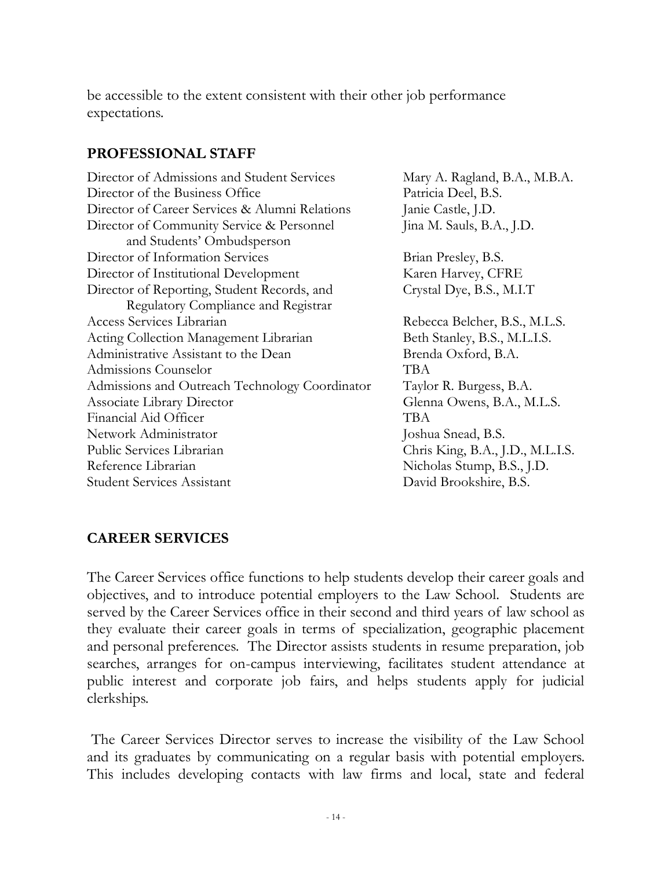be accessible to the extent consistent with their other job performance expectations.

#### **PROFESSIONAL STAFF**

| Director of Admissions and Student Services    | Mary A. Ragland, B.A., M.B.A.    |
|------------------------------------------------|----------------------------------|
| Director of the Business Office                | Patricia Deel, B.S.              |
| Director of Career Services & Alumni Relations | Janie Castle, J.D.               |
| Director of Community Service & Personnel      | Jina M. Sauls, B.A., J.D.        |
| and Students' Ombudsperson                     |                                  |
| Director of Information Services               | Brian Presley, B.S.              |
| Director of Institutional Development          | Karen Harvey, CFRE               |
| Director of Reporting, Student Records, and    | Crystal Dye, B.S., M.I.T         |
| Regulatory Compliance and Registrar            |                                  |
| Access Services Librarian                      | Rebecca Belcher, B.S., M.L.S.    |
| Acting Collection Management Librarian         | Beth Stanley, B.S., M.L.I.S.     |
| Administrative Assistant to the Dean           | Brenda Oxford, B.A.              |
| Admissions Counselor                           | <b>TBA</b>                       |
| Admissions and Outreach Technology Coordinator | Taylor R. Burgess, B.A.          |
| <b>Associate Library Director</b>              | Glenna Owens, B.A., M.L.S.       |
| Financial Aid Officer                          | TBA                              |
| Network Administrator                          | Joshua Snead, B.S.               |
| Public Services Librarian                      | Chris King, B.A., J.D., M.L.I.S. |
| Reference Librarian                            | Nicholas Stump, B.S., J.D.       |
| <b>Student Services Assistant</b>              | David Brookshire, B.S.           |

# **CAREER SERVICES**

The Career Services office functions to help students develop their career goals and objectives, and to introduce potential employers to the Law School. Students are served by the Career Services office in their second and third years of law school as they evaluate their career goals in terms of specialization, geographic placement and personal preferences. The Director assists students in resume preparation, job searches, arranges for on-campus interviewing, facilitates student attendance at public interest and corporate job fairs, and helps students apply for judicial clerkships.

The Career Services Director serves to increase the visibility of the Law School and its graduates by communicating on a regular basis with potential employers. This includes developing contacts with law firms and local, state and federal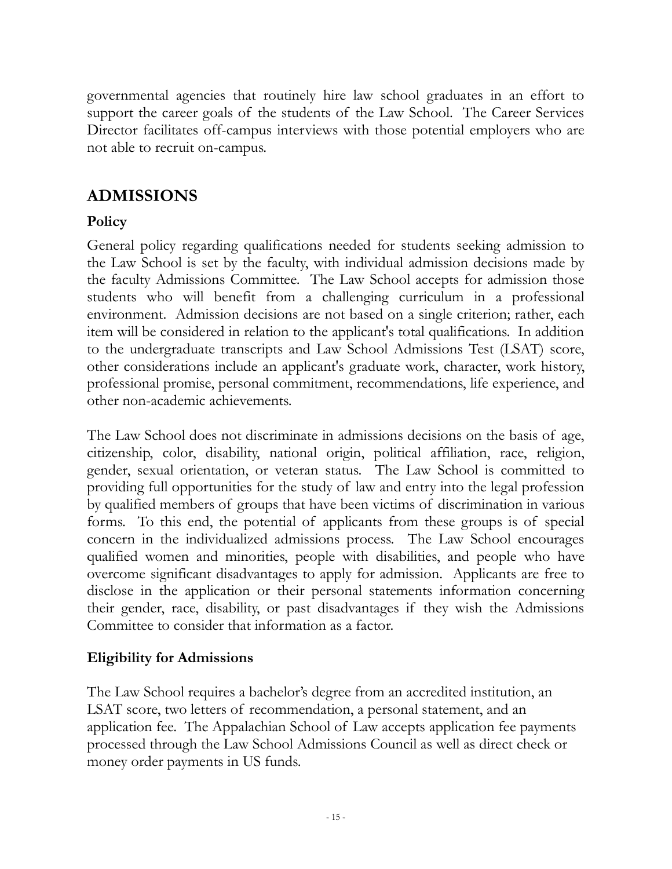governmental agencies that routinely hire law school graduates in an effort to support the career goals of the students of the Law School. The Career Services Director facilitates off-campus interviews with those potential employers who are not able to recruit on-campus.

# **ADMISSIONS**

# **Policy**

General policy regarding qualifications needed for students seeking admission to the Law School is set by the faculty, with individual admission decisions made by the faculty Admissions Committee. The Law School accepts for admission those students who will benefit from a challenging curriculum in a professional environment. Admission decisions are not based on a single criterion; rather, each item will be considered in relation to the applicant's total qualifications. In addition to the undergraduate transcripts and Law School Admissions Test (LSAT) score, other considerations include an applicant's graduate work, character, work history, professional promise, personal commitment, recommendations, life experience, and other non-academic achievements.

The Law School does not discriminate in admissions decisions on the basis of age, citizenship, color, disability, national origin, political affiliation, race, religion, gender, sexual orientation, or veteran status. The Law School is committed to providing full opportunities for the study of law and entry into the legal profession by qualified members of groups that have been victims of discrimination in various forms. To this end, the potential of applicants from these groups is of special concern in the individualized admissions process. The Law School encourages qualified women and minorities, people with disabilities, and people who have overcome significant disadvantages to apply for admission. Applicants are free to disclose in the application or their personal statements information concerning their gender, race, disability, or past disadvantages if they wish the Admissions Committee to consider that information as a factor.

#### **Eligibility for Admissions**

The Law School requires a bachelor's degree from an accredited institution, an LSAT score, two letters of recommendation, a personal statement, and an application fee. The Appalachian School of Law accepts application fee payments processed through the Law School Admissions Council as well as direct check or money order payments in US funds.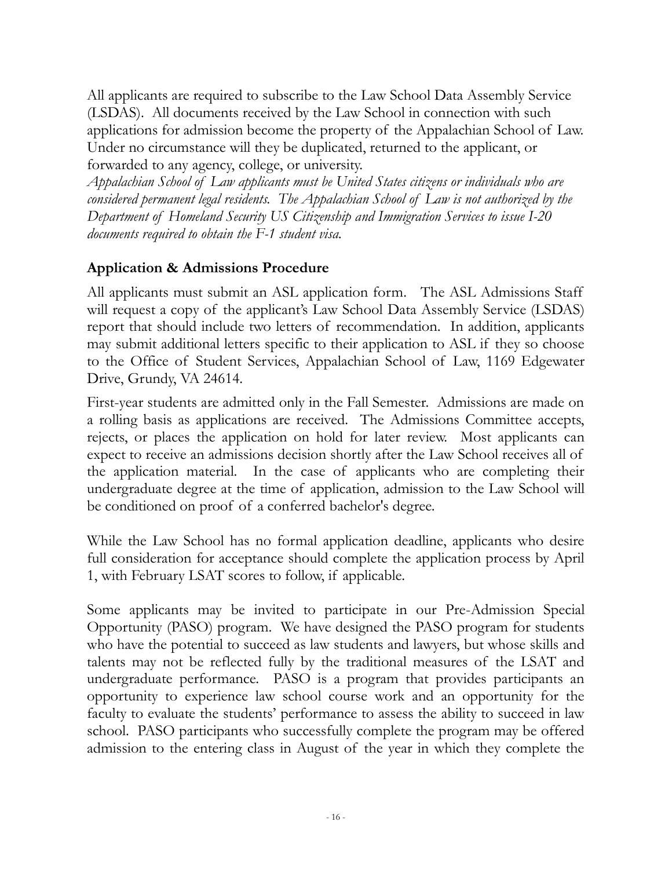All applicants are required to subscribe to the Law School Data Assembly Service (LSDAS). All documents received by the Law School in connection with such applications for admission become the property of the Appalachian School of Law. Under no circumstance will they be duplicated, returned to the applicant, or forwarded to any agency, college, or university.

*Appalachian School of Law applicants must be United States citizens or individuals who are considered permanent legal residents. The Appalachian School of Law is not authorized by the Department of Homeland Security US Citizenship and Immigration Services to issue I-20 documents required to obtain the F-1 student visa.* 

# **Application & Admissions Procedure**

All applicants must submit an ASL application form. The ASL Admissions Staff will request a copy of the applicant's Law School Data Assembly Service (LSDAS) report that should include two letters of recommendation. In addition, applicants may submit additional letters specific to their application to ASL if they so choose to the Office of Student Services, Appalachian School of Law, 1169 Edgewater Drive, Grundy, VA 24614.

First-year students are admitted only in the Fall Semester. Admissions are made on a rolling basis as applications are received. The Admissions Committee accepts, rejects, or places the application on hold for later review. Most applicants can expect to receive an admissions decision shortly after the Law School receives all of the application material. In the case of applicants who are completing their undergraduate degree at the time of application, admission to the Law School will be conditioned on proof of a conferred bachelor's degree.

While the Law School has no formal application deadline, applicants who desire full consideration for acceptance should complete the application process by April 1, with February LSAT scores to follow, if applicable.

Some applicants may be invited to participate in our Pre-Admission Special Opportunity (PASO) program. We have designed the PASO program for students who have the potential to succeed as law students and lawyers, but whose skills and talents may not be reflected fully by the traditional measures of the LSAT and undergraduate performance. PASO is a program that provides participants an opportunity to experience law school course work and an opportunity for the faculty to evaluate the students' performance to assess the ability to succeed in law school. PASO participants who successfully complete the program may be offered admission to the entering class in August of the year in which they complete the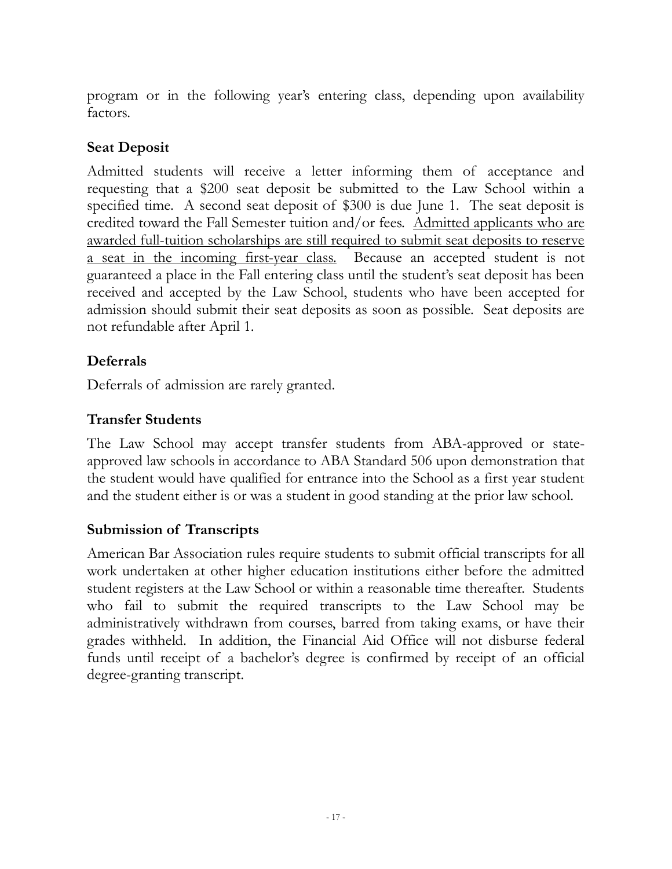program or in the following year's entering class, depending upon availability factors.

## **Seat Deposit**

Admitted students will receive a letter informing them of acceptance and requesting that a \$200 seat deposit be submitted to the Law School within a specified time. A second seat deposit of \$300 is due June 1. The seat deposit is credited toward the Fall Semester tuition and/or fees. Admitted applicants who are awarded full-tuition scholarships are still required to submit seat deposits to reserve a seat in the incoming first-year class. Because an accepted student is not guaranteed a place in the Fall entering class until the student's seat deposit has been received and accepted by the Law School, students who have been accepted for admission should submit their seat deposits as soon as possible. Seat deposits are not refundable after April 1.

# **Deferrals**

Deferrals of admission are rarely granted.

### **Transfer Students**

The Law School may accept transfer students from ABA-approved or stateapproved law schools in accordance to ABA Standard 506 upon demonstration that the student would have qualified for entrance into the School as a first year student and the student either is or was a student in good standing at the prior law school.

# **Submission of Transcripts**

American Bar Association rules require students to submit official transcripts for all work undertaken at other higher education institutions either before the admitted student registers at the Law School or within a reasonable time thereafter. Students who fail to submit the required transcripts to the Law School may be administratively withdrawn from courses, barred from taking exams, or have their grades withheld. In addition, the Financial Aid Office will not disburse federal funds until receipt of a bachelor's degree is confirmed by receipt of an official degree-granting transcript.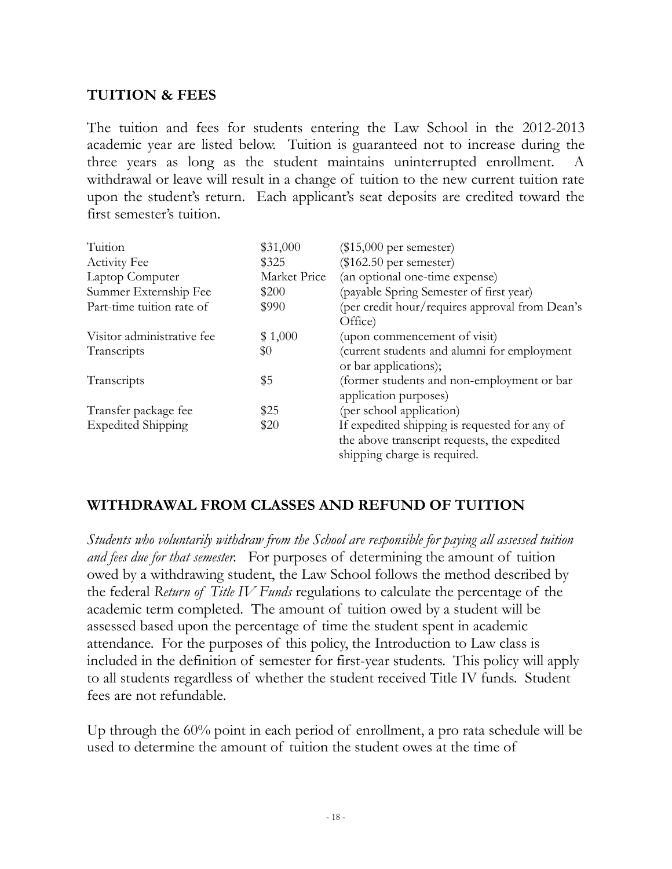# **TUITION & FEES**

The tuition and fees for students entering the Law School in the 2012-2013 academic year are listed below. Tuition is guaranteed not to increase during the three years as long as the student maintains uninterrupted enrollment. A withdrawal or leave will result in a change of tuition to the new current tuition rate upon the student's return. Each applicant's seat deposits are credited toward the first semester's tuition.

| Tuition                    | \$31,000     | $(\$15,000$ per semester)                                                                                                     |
|----------------------------|--------------|-------------------------------------------------------------------------------------------------------------------------------|
| <b>Activity Fee</b>        | \$325        | $(\$162.50$ per semester)                                                                                                     |
| Laptop Computer            | Market Price | (an optional one-time expense)                                                                                                |
| Summer Externship Fee      | \$200        | (payable Spring Semester of first year)                                                                                       |
| Part-time tuition rate of  | \$990        | (per credit hour/requires approval from Dean's<br>Office)                                                                     |
| Visitor administrative fee | \$1,000      | (upon commencement of visit)                                                                                                  |
| Transcripts                | \$0          | (current students and alumni for employment<br>or bar applications);                                                          |
| Transcripts                | \$5          | (former students and non-employment or bar<br>application purposes)                                                           |
| Transfer package fee       | \$25         | (per school application)                                                                                                      |
| <b>Expedited Shipping</b>  | \$20         | If expedited shipping is requested for any of<br>the above transcript requests, the expedited<br>shipping charge is required. |

# **WITHDRAWAL FROM CLASSES AND REFUND OF TUITION**

*Students who voluntarily withdraw from the School are responsible for paying all assessed tuition and fees due for that semester.* For purposes of determining the amount of tuition owed by a withdrawing student, the Law School follows the method described by the federal *Return of Title IV Funds* regulations to calculate the percentage of the academic term completed. The amount of tuition owed by a student will be assessed based upon the percentage of time the student spent in academic attendance. For the purposes of this policy, the Introduction to Law class is included in the definition of semester for first-year students. This policy will apply to all students regardless of whether the student received Title IV funds. Student fees are not refundable.

Up through the 60% point in each period of enrollment, a pro rata schedule will be used to determine the amount of tuition the student owes at the time of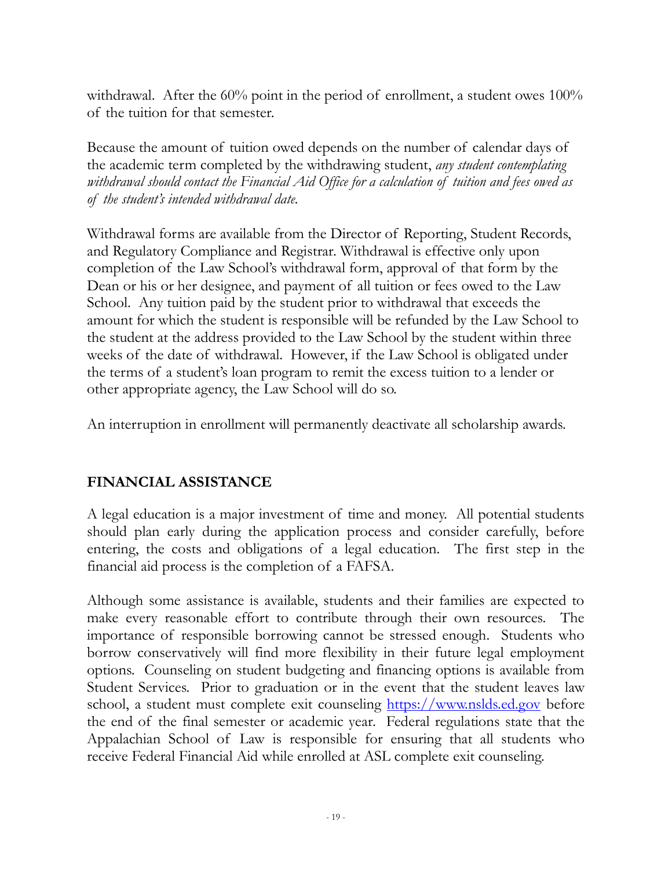withdrawal. After the 60% point in the period of enrollment, a student owes 100% of the tuition for that semester.

Because the amount of tuition owed depends on the number of calendar days of the academic term completed by the withdrawing student, *any student contemplating withdrawal should contact the Financial Aid Office for a calculation of tuition and fees owed as of the student's intended withdrawal date.*

Withdrawal forms are available from the Director of Reporting, Student Records, and Regulatory Compliance and Registrar. Withdrawal is effective only upon completion of the Law School's withdrawal form, approval of that form by the Dean or his or her designee, and payment of all tuition or fees owed to the Law School. Any tuition paid by the student prior to withdrawal that exceeds the amount for which the student is responsible will be refunded by the Law School to the student at the address provided to the Law School by the student within three weeks of the date of withdrawal. However, if the Law School is obligated under the terms of a student's loan program to remit the excess tuition to a lender or other appropriate agency, the Law School will do so.

An interruption in enrollment will permanently deactivate all scholarship awards.

# **FINANCIAL ASSISTANCE**

A legal education is a major investment of time and money. All potential students should plan early during the application process and consider carefully, before entering, the costs and obligations of a legal education. The first step in the financial aid process is the completion of a FAFSA.

Although some assistance is available, students and their families are expected to make every reasonable effort to contribute through their own resources. The importance of responsible borrowing cannot be stressed enough. Students who borrow conservatively will find more flexibility in their future legal employment options. Counseling on student budgeting and financing options is available from Student Services. Prior to graduation or in the event that the student leaves law school, a student must complete exit counseling [https://www.nslds.ed.gov](https://www.nslds.ed.gov/) before the end of the final semester or academic year. Federal regulations state that the Appalachian School of Law is responsible for ensuring that all students who receive Federal Financial Aid while enrolled at ASL complete exit counseling.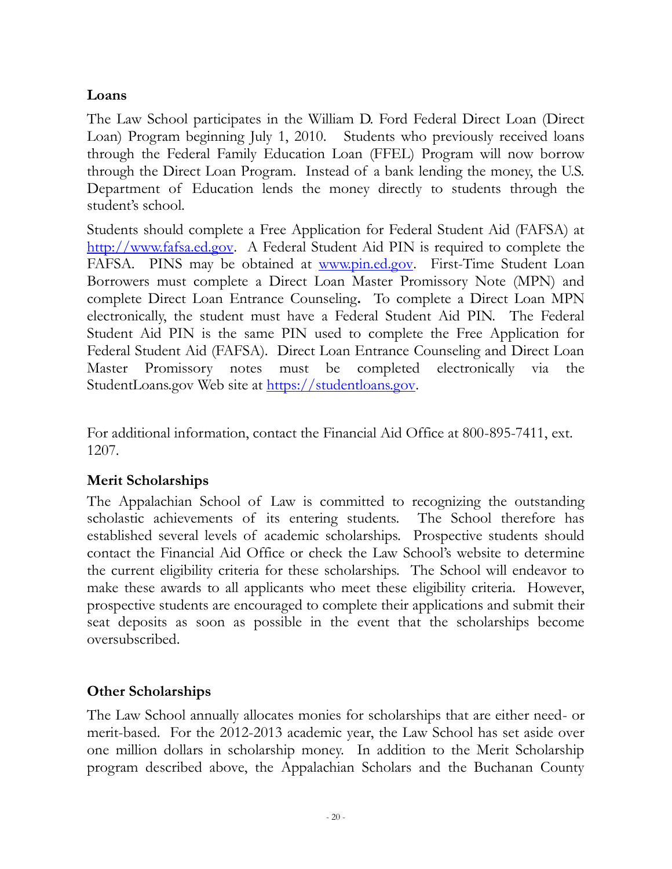## **Loans**

The Law School participates in the William D. Ford Federal Direct Loan (Direct Loan) Program beginning July 1, 2010. Students who previously received loans through the Federal Family Education Loan (FFEL) Program will now borrow through the Direct Loan Program. Instead of a bank lending the money, the U.S. Department of Education lends the money directly to students through the student's school.

Students should complete a Free Application for Federal Student Aid (FAFSA) at [http://www.fafsa.ed.gov.](http://www.fafsa.ed.gov/) A Federal Student Aid PIN is required to complete the FAFSA. PINS may be obtained at [www.pin.ed.gov.](http://www.pin.ed.gov/) First-Time Student Loan Borrowers must complete a Direct Loan Master Promissory Note (MPN) and complete Direct Loan Entrance Counseling**.** To complete a Direct Loan MPN electronically, the student must have a Federal Student Aid PIN. The Federal Student Aid PIN is the same PIN used to complete the Free Application for Federal Student Aid (FAFSA). Direct Loan Entrance Counseling and Direct Loan Master Promissory notes must be completed electronically via the StudentLoans.gov Web site at [https://studentloans.gov.](https://studentloans.gov/)

For additional information, contact the Financial Aid Office at 800-895-7411, ext. 1207.

# **Merit Scholarships**

The Appalachian School of Law is committed to recognizing the outstanding scholastic achievements of its entering students. The School therefore has established several levels of academic scholarships. Prospective students should contact the Financial Aid Office or check the Law School's website to determine the current eligibility criteria for these scholarships. The School will endeavor to make these awards to all applicants who meet these eligibility criteria. However, prospective students are encouraged to complete their applications and submit their seat deposits as soon as possible in the event that the scholarships become oversubscribed.

#### **Other Scholarships**

The Law School annually allocates monies for scholarships that are either need- or merit-based. For the 2012-2013 academic year, the Law School has set aside over one million dollars in scholarship money. In addition to the Merit Scholarship program described above, the Appalachian Scholars and the Buchanan County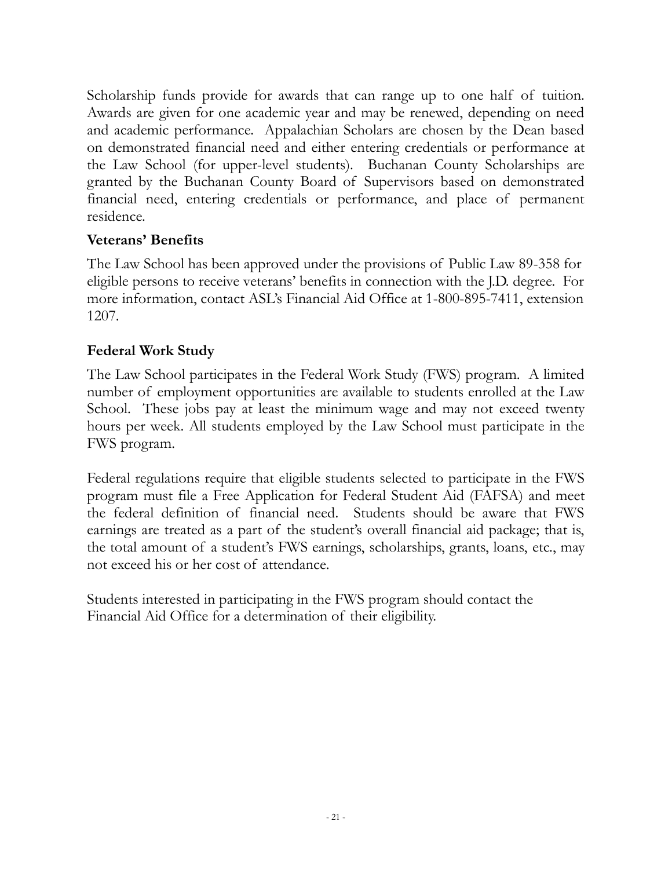Scholarship funds provide for awards that can range up to one half of tuition. Awards are given for one academic year and may be renewed, depending on need and academic performance. Appalachian Scholars are chosen by the Dean based on demonstrated financial need and either entering credentials or performance at the Law School (for upper-level students). Buchanan County Scholarships are granted by the Buchanan County Board of Supervisors based on demonstrated financial need, entering credentials or performance, and place of permanent residence.

### **Veterans' Benefits**

The Law School has been approved under the provisions of Public Law 89-358 for eligible persons to receive veterans' benefits in connection with the J.D. degree. For more information, contact ASL's Financial Aid Office at 1-800-895-7411, extension 1207.

### **Federal Work Study**

The Law School participates in the Federal Work Study (FWS) program. A limited number of employment opportunities are available to students enrolled at the Law School. These jobs pay at least the minimum wage and may not exceed twenty hours per week. All students employed by the Law School must participate in the FWS program.

Federal regulations require that eligible students selected to participate in the FWS program must file a Free Application for Federal Student Aid (FAFSA) and meet the federal definition of financial need. Students should be aware that FWS earnings are treated as a part of the student's overall financial aid package; that is, the total amount of a student's FWS earnings, scholarships, grants, loans, etc., may not exceed his or her cost of attendance.

Students interested in participating in the FWS program should contact the Financial Aid Office for a determination of their eligibility.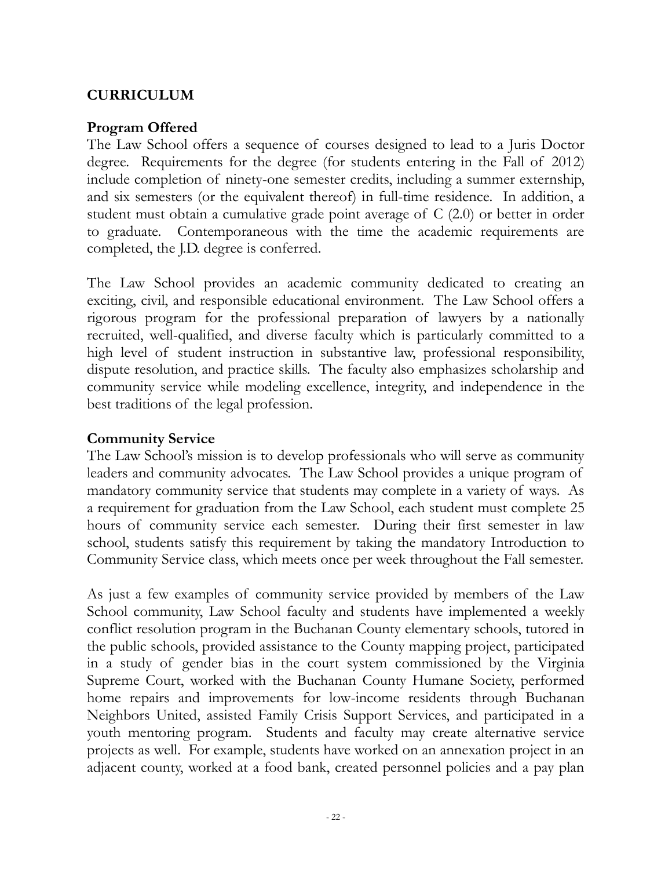# **CURRICULUM**

#### **Program Offered**

The Law School offers a sequence of courses designed to lead to a Juris Doctor degree. Requirements for the degree (for students entering in the Fall of 2012) include completion of ninety-one semester credits, including a summer externship, and six semesters (or the equivalent thereof) in full-time residence. In addition, a student must obtain a cumulative grade point average of C (2.0) or better in order to graduate. Contemporaneous with the time the academic requirements are completed, the J.D. degree is conferred.

The Law School provides an academic community dedicated to creating an exciting, civil, and responsible educational environment. The Law School offers a rigorous program for the professional preparation of lawyers by a nationally recruited, well-qualified, and diverse faculty which is particularly committed to a high level of student instruction in substantive law, professional responsibility, dispute resolution, and practice skills. The faculty also emphasizes scholarship and community service while modeling excellence, integrity, and independence in the best traditions of the legal profession.

#### **Community Service**

The Law School's mission is to develop professionals who will serve as community leaders and community advocates. The Law School provides a unique program of mandatory community service that students may complete in a variety of ways. As a requirement for graduation from the Law School, each student must complete 25 hours of community service each semester. During their first semester in law school, students satisfy this requirement by taking the mandatory Introduction to Community Service class, which meets once per week throughout the Fall semester.

As just a few examples of community service provided by members of the Law School community, Law School faculty and students have implemented a weekly conflict resolution program in the Buchanan County elementary schools, tutored in the public schools, provided assistance to the County mapping project, participated in a study of gender bias in the court system commissioned by the Virginia Supreme Court, worked with the Buchanan County Humane Society, performed home repairs and improvements for low-income residents through Buchanan Neighbors United, assisted Family Crisis Support Services, and participated in a youth mentoring program. Students and faculty may create alternative service projects as well. For example, students have worked on an annexation project in an adjacent county, worked at a food bank, created personnel policies and a pay plan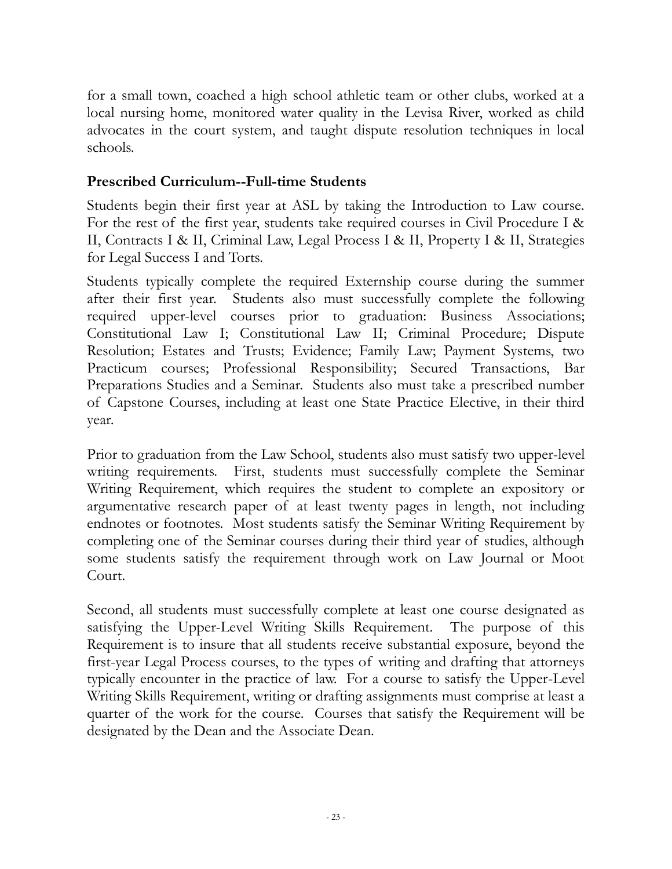for a small town, coached a high school athletic team or other clubs, worked at a local nursing home, monitored water quality in the Levisa River, worked as child advocates in the court system, and taught dispute resolution techniques in local schools.

#### **Prescribed Curriculum--Full-time Students**

Students begin their first year at ASL by taking the Introduction to Law course. For the rest of the first year, students take required courses in Civil Procedure I & II, Contracts I & II, Criminal Law, Legal Process I & II, Property I & II, Strategies for Legal Success I and Torts.

Students typically complete the required Externship course during the summer after their first year. Students also must successfully complete the following required upper-level courses prior to graduation: Business Associations; Constitutional Law I; Constitutional Law II; Criminal Procedure; Dispute Resolution; Estates and Trusts; Evidence; Family Law; Payment Systems, two Practicum courses; Professional Responsibility; Secured Transactions, Bar Preparations Studies and a Seminar. Students also must take a prescribed number of Capstone Courses, including at least one State Practice Elective, in their third year.

Prior to graduation from the Law School, students also must satisfy two upper-level writing requirements. First, students must successfully complete the Seminar Writing Requirement, which requires the student to complete an expository or argumentative research paper of at least twenty pages in length, not including endnotes or footnotes. Most students satisfy the Seminar Writing Requirement by completing one of the Seminar courses during their third year of studies, although some students satisfy the requirement through work on Law Journal or Moot Court.

Second, all students must successfully complete at least one course designated as satisfying the Upper-Level Writing Skills Requirement. The purpose of this Requirement is to insure that all students receive substantial exposure, beyond the first-year Legal Process courses, to the types of writing and drafting that attorneys typically encounter in the practice of law. For a course to satisfy the Upper-Level Writing Skills Requirement, writing or drafting assignments must comprise at least a quarter of the work for the course. Courses that satisfy the Requirement will be designated by the Dean and the Associate Dean.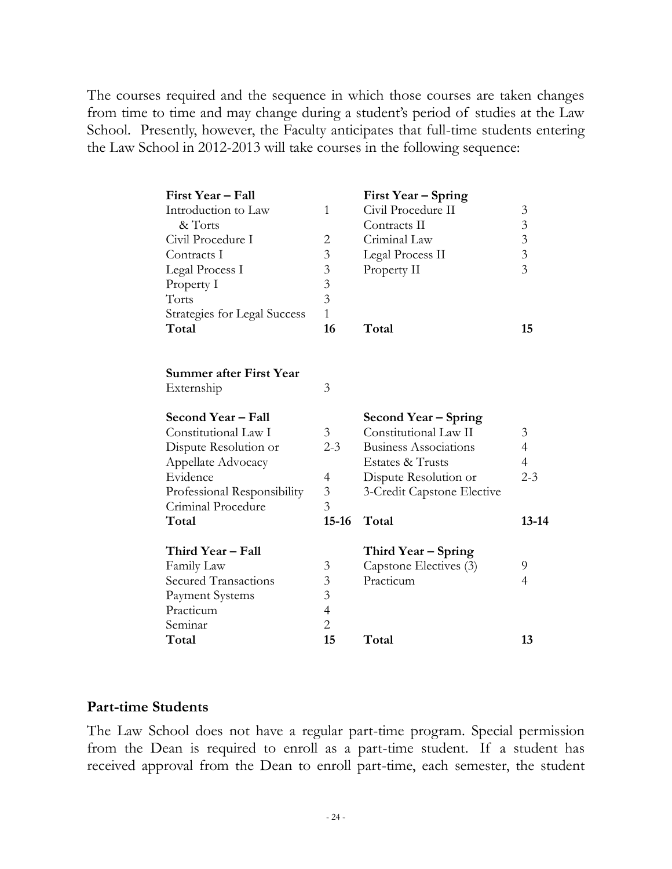The courses required and the sequence in which those courses are taken changes from time to time and may change during a student's period of studies at the Law School. Presently, however, the Faculty anticipates that full-time students entering the Law School in 2012-2013 will take courses in the following sequence:

| First Year - Fall                   |                | First Year – Spring          |                |
|-------------------------------------|----------------|------------------------------|----------------|
| Introduction to Law                 | 1              | Civil Procedure II           | 3              |
| & Torts                             |                | Contracts II                 | $\mathfrak{Z}$ |
| Civil Procedure I                   | $\overline{2}$ | Criminal Law                 | $\overline{3}$ |
| Contracts I                         | $\overline{3}$ | Legal Process II             | $\overline{3}$ |
| Legal Process I                     | $\mathfrak{Z}$ | Property II                  | $\overline{3}$ |
| Property I                          | $\overline{3}$ |                              |                |
| Torts                               | $\overline{3}$ |                              |                |
| <b>Strategies for Legal Success</b> | $\mathbf{1}$   |                              |                |
| Total                               | 16             | Total                        | 15             |
| Summer after First Year             |                |                              |                |
| Externship                          | 3              |                              |                |
| Second Year - Fall                  |                | Second Year – Spring         |                |
| Constitutional Law I                | 3              | Constitutional Law II        | 3              |
| Dispute Resolution or               | $2 - 3$        | <b>Business Associations</b> | $\overline{4}$ |
| Appellate Advocacy                  |                | Estates & Trusts             | $\overline{4}$ |
| Evidence                            | 4              | Dispute Resolution or        | $2 - 3$        |
| Professional Responsibility         | 3              | 3-Credit Capstone Elective   |                |
| Criminal Procedure                  | $\overline{3}$ |                              |                |
| Total                               | $15 - 16$      | Total                        | $13 - 14$      |
| Third Year - Fall                   |                | Third Year – Spring          |                |
| Family Law                          | 3              | Capstone Electives (3)       | 9              |
| <b>Secured Transactions</b>         | 3              | Practicum                    | 4              |
| Payment Systems                     | 3              |                              |                |
| Practicum                           | $\overline{4}$ |                              |                |
| Seminar                             | $\overline{2}$ |                              |                |
| Total                               | 15             | Total                        | 13             |

#### **Part-time Students**

The Law School does not have a regular part-time program. Special permission from the Dean is required to enroll as a part-time student. If a student has received approval from the Dean to enroll part-time, each semester, the student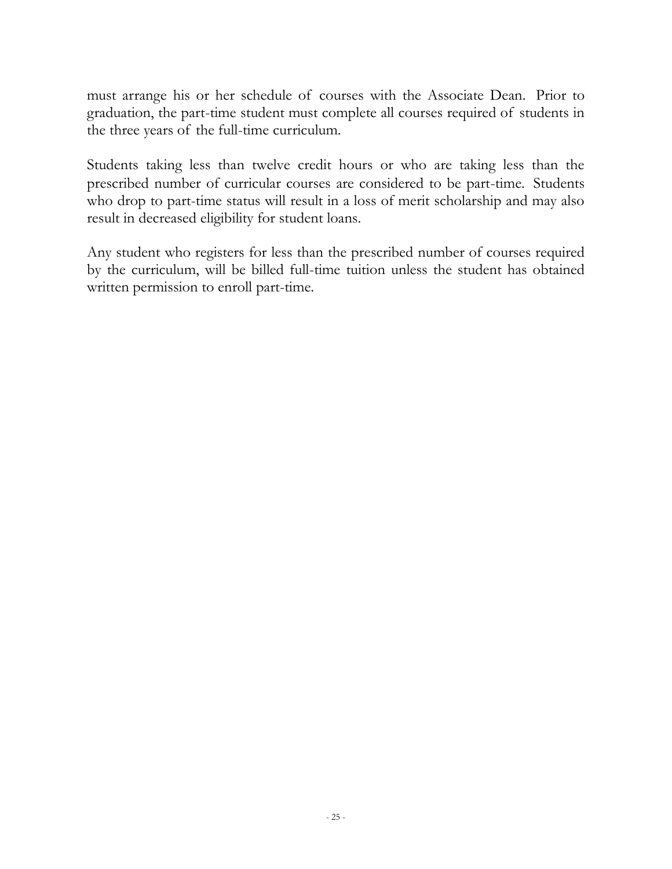must arrange his or her schedule of courses with the Associate Dean. Prior to graduation, the part-time student must complete all courses required of students in the three years of the full-time curriculum.

Students taking less than twelve credit hours or who are taking less than the prescribed number of curricular courses are considered to be part-time. Students who drop to part-time status will result in a loss of merit scholarship and may also result in decreased eligibility for student loans.

Any student who registers for less than the prescribed number of courses required by the curriculum, will be billed full-time tuition unless the student has obtained written permission to enroll part-time.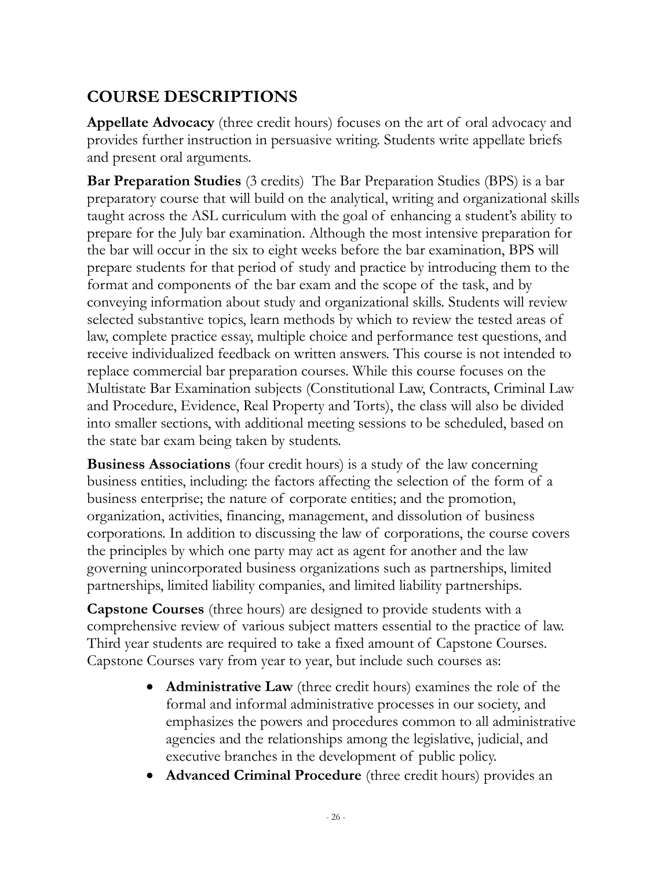# **COURSE DESCRIPTIONS**

**Appellate Advocacy** (three credit hours) focuses on the art of oral advocacy and provides further instruction in persuasive writing. Students write appellate briefs and present oral arguments.

**Bar Preparation Studies** (3 credits) The Bar Preparation Studies (BPS) is a bar preparatory course that will build on the analytical, writing and organizational skills taught across the ASL curriculum with the goal of enhancing a student's ability to prepare for the July bar examination. Although the most intensive preparation for the bar will occur in the six to eight weeks before the bar examination, BPS will prepare students for that period of study and practice by introducing them to the format and components of the bar exam and the scope of the task, and by conveying information about study and organizational skills. Students will review selected substantive topics, learn methods by which to review the tested areas of law, complete practice essay, multiple choice and performance test questions, and receive individualized feedback on written answers. This course is not intended to replace commercial bar preparation courses. While this course focuses on the Multistate Bar Examination subjects (Constitutional Law, Contracts, Criminal Law and Procedure, Evidence, Real Property and Torts), the class will also be divided into smaller sections, with additional meeting sessions to be scheduled, based on the state bar exam being taken by students.

**Business Associations** (four credit hours) is a study of the law concerning business entities, including: the factors affecting the selection of the form of a business enterprise; the nature of corporate entities; and the promotion, organization, activities, financing, management, and dissolution of business corporations. In addition to discussing the law of corporations, the course covers the principles by which one party may act as agent for another and the law governing unincorporated business organizations such as partnerships, limited partnerships, limited liability companies, and limited liability partnerships.

**Capstone Courses** (three hours) are designed to provide students with a comprehensive review of various subject matters essential to the practice of law. Third year students are required to take a fixed amount of Capstone Courses. Capstone Courses vary from year to year, but include such courses as:

- **Administrative Law** (three credit hours) examines the role of the formal and informal administrative processes in our society, and emphasizes the powers and procedures common to all administrative agencies and the relationships among the legislative, judicial, and executive branches in the development of public policy.
- **Advanced Criminal Procedure** (three credit hours) provides an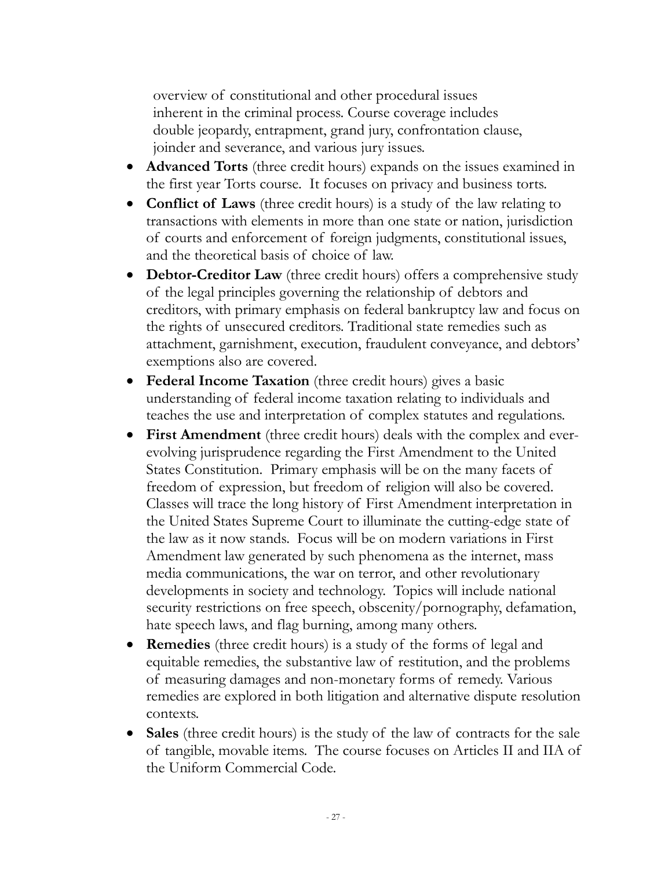overview of constitutional and other procedural issues inherent in the criminal process. Course coverage includes double jeopardy, entrapment, grand jury, confrontation clause, joinder and severance, and various jury issues.

- **Advanced Torts** (three credit hours) expands on the issues examined in the first year Torts course. It focuses on privacy and business torts.
- **Conflict of Laws** (three credit hours) is a study of the law relating to transactions with elements in more than one state or nation, jurisdiction of courts and enforcement of foreign judgments, constitutional issues, and the theoretical basis of choice of law.
- **Debtor-Creditor Law** (three credit hours) offers a comprehensive study of the legal principles governing the relationship of debtors and creditors, with primary emphasis on federal bankruptcy law and focus on the rights of unsecured creditors. Traditional state remedies such as attachment, garnishment, execution, fraudulent conveyance, and debtors' exemptions also are covered.
- **Federal Income Taxation** (three credit hours) gives a basic understanding of federal income taxation relating to individuals and teaches the use and interpretation of complex statutes and regulations.
- **First Amendment** (three credit hours) deals with the complex and everevolving jurisprudence regarding the First Amendment to the United States Constitution. Primary emphasis will be on the many facets of freedom of expression, but freedom of religion will also be covered. Classes will trace the long history of First Amendment interpretation in the United States Supreme Court to illuminate the cutting-edge state of the law as it now stands. Focus will be on modern variations in First Amendment law generated by such phenomena as the internet, mass media communications, the war on terror, and other revolutionary developments in society and technology. Topics will include national security restrictions on free speech, obscenity/pornography, defamation, hate speech laws, and flag burning, among many others.
- **Remedies** (three credit hours) is a study of the forms of legal and equitable remedies, the substantive law of restitution, and the problems of measuring damages and non-monetary forms of remedy. Various remedies are explored in both litigation and alternative dispute resolution contexts.
- **Sales** (three credit hours) is the study of the law of contracts for the sale of tangible, movable items. The course focuses on Articles II and IIA of the Uniform Commercial Code.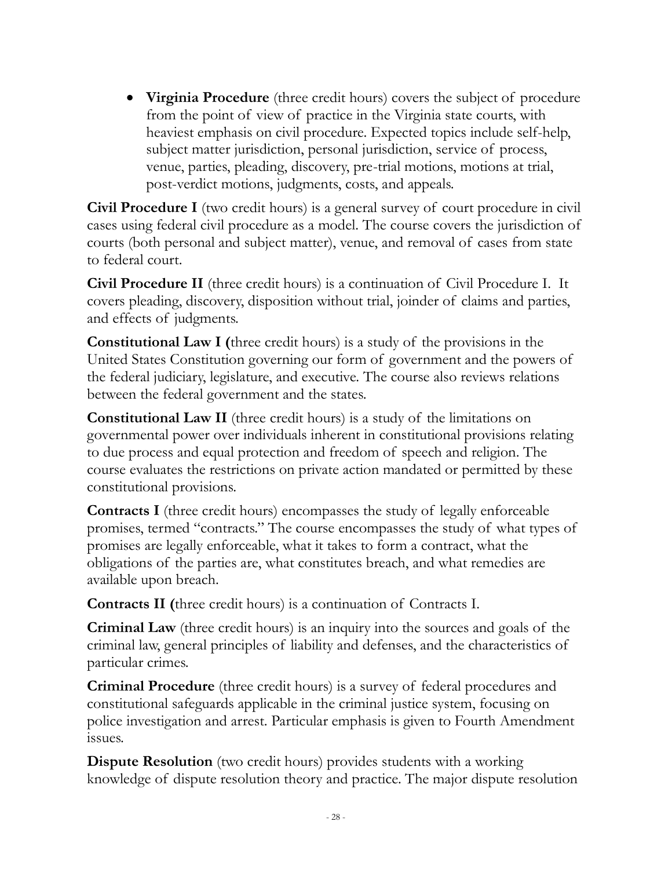**Virginia Procedure** (three credit hours) covers the subject of procedure from the point of view of practice in the Virginia state courts, with heaviest emphasis on civil procedure. Expected topics include self-help, subject matter jurisdiction, personal jurisdiction, service of process, venue, parties, pleading, discovery, pre-trial motions, motions at trial, post-verdict motions, judgments, costs, and appeals.

**Civil Procedure I** (two credit hours) is a general survey of court procedure in civil cases using federal civil procedure as a model. The course covers the jurisdiction of courts (both personal and subject matter), venue, and removal of cases from state to federal court.

**Civil Procedure II** (three credit hours) is a continuation of Civil Procedure I. It covers pleading, discovery, disposition without trial, joinder of claims and parties, and effects of judgments.

**Constitutional Law I (**three credit hours) is a study of the provisions in the United States Constitution governing our form of government and the powers of the federal judiciary, legislature, and executive. The course also reviews relations between the federal government and the states.

**Constitutional Law II** (three credit hours) is a study of the limitations on governmental power over individuals inherent in constitutional provisions relating to due process and equal protection and freedom of speech and religion. The course evaluates the restrictions on private action mandated or permitted by these constitutional provisions.

**Contracts I** (three credit hours) encompasses the study of legally enforceable promises, termed "contracts." The course encompasses the study of what types of promises are legally enforceable, what it takes to form a contract, what the obligations of the parties are, what constitutes breach, and what remedies are available upon breach.

**Contracts II (**three credit hours) is a continuation of Contracts I.

**Criminal Law** (three credit hours) is an inquiry into the sources and goals of the criminal law, general principles of liability and defenses, and the characteristics of particular crimes.

**Criminal Procedure** (three credit hours) is a survey of federal procedures and constitutional safeguards applicable in the criminal justice system, focusing on police investigation and arrest. Particular emphasis is given to Fourth Amendment issues.

**Dispute Resolution** (two credit hours) provides students with a working knowledge of dispute resolution theory and practice. The major dispute resolution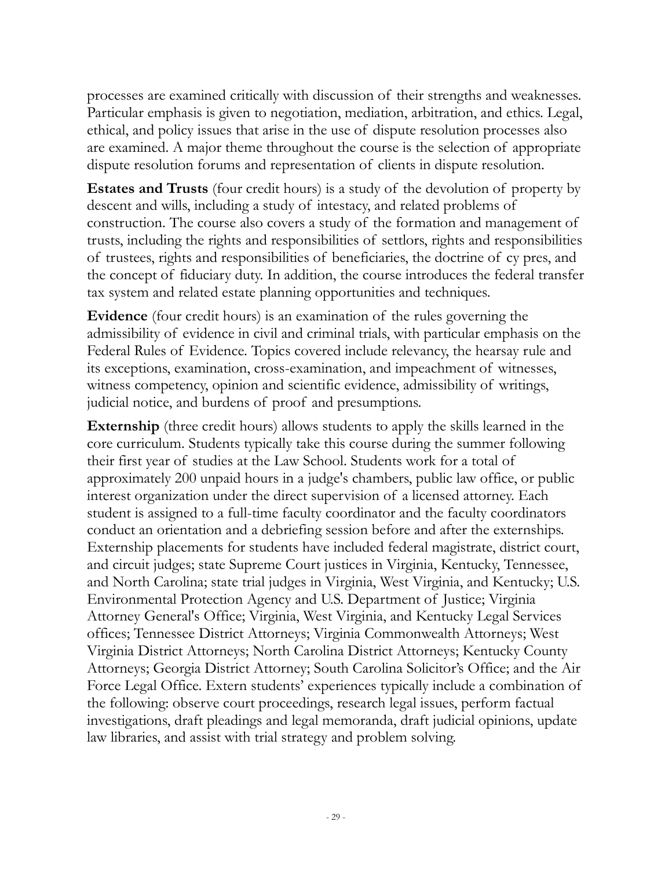processes are examined critically with discussion of their strengths and weaknesses. Particular emphasis is given to negotiation, mediation, arbitration, and ethics. Legal, ethical, and policy issues that arise in the use of dispute resolution processes also are examined. A major theme throughout the course is the selection of appropriate dispute resolution forums and representation of clients in dispute resolution.

**Estates and Trusts** (four credit hours) is a study of the devolution of property by descent and wills, including a study of intestacy, and related problems of construction. The course also covers a study of the formation and management of trusts, including the rights and responsibilities of settlors, rights and responsibilities of trustees, rights and responsibilities of beneficiaries, the doctrine of cy pres, and the concept of fiduciary duty. In addition, the course introduces the federal transfer tax system and related estate planning opportunities and techniques.

**Evidence** (four credit hours) is an examination of the rules governing the admissibility of evidence in civil and criminal trials, with particular emphasis on the Federal Rules of Evidence. Topics covered include relevancy, the hearsay rule and its exceptions, examination, cross-examination, and impeachment of witnesses, witness competency, opinion and scientific evidence, admissibility of writings, judicial notice, and burdens of proof and presumptions.

**Externship** (three credit hours) allows students to apply the skills learned in the core curriculum. Students typically take this course during the summer following their first year of studies at the Law School. Students work for a total of approximately 200 unpaid hours in a judge's chambers, public law office, or public interest organization under the direct supervision of a licensed attorney. Each student is assigned to a full-time faculty coordinator and the faculty coordinators conduct an orientation and a debriefing session before and after the externships. Externship placements for students have included federal magistrate, district court, and circuit judges; state Supreme Court justices in Virginia, Kentucky, Tennessee, and North Carolina; state trial judges in Virginia, West Virginia, and Kentucky; U.S. Environmental Protection Agency and U.S. Department of Justice; Virginia Attorney General's Office; Virginia, West Virginia, and Kentucky Legal Services offices; Tennessee District Attorneys; Virginia Commonwealth Attorneys; West Virginia District Attorneys; North Carolina District Attorneys; Kentucky County Attorneys; Georgia District Attorney; South Carolina Solicitor's Office; and the Air Force Legal Office. Extern students' experiences typically include a combination of the following: observe court proceedings, research legal issues, perform factual investigations, draft pleadings and legal memoranda, draft judicial opinions, update law libraries, and assist with trial strategy and problem solving.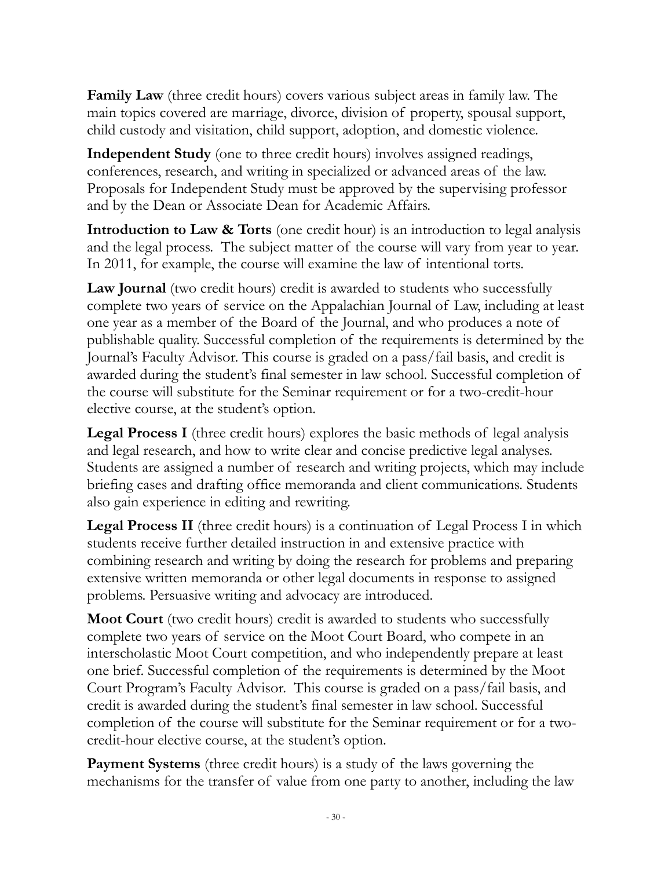**Family Law** (three credit hours) covers various subject areas in family law. The main topics covered are marriage, divorce, division of property, spousal support, child custody and visitation, child support, adoption, and domestic violence.

**Independent Study** (one to three credit hours) involves assigned readings, conferences, research, and writing in specialized or advanced areas of the law. Proposals for Independent Study must be approved by the supervising professor and by the Dean or Associate Dean for Academic Affairs.

**Introduction to Law & Torts** (one credit hour) is an introduction to legal analysis and the legal process. The subject matter of the course will vary from year to year. In 2011, for example, the course will examine the law of intentional torts.

**Law Journal** (two credit hours) credit is awarded to students who successfully complete two years of service on the Appalachian Journal of Law, including at least one year as a member of the Board of the Journal, and who produces a note of publishable quality. Successful completion of the requirements is determined by the Journal's Faculty Advisor. This course is graded on a pass/fail basis, and credit is awarded during the student's final semester in law school. Successful completion of the course will substitute for the Seminar requirement or for a two-credit-hour elective course, at the student's option.

**Legal Process I** (three credit hours) explores the basic methods of legal analysis and legal research, and how to write clear and concise predictive legal analyses. Students are assigned a number of research and writing projects, which may include briefing cases and drafting office memoranda and client communications. Students also gain experience in editing and rewriting.

**Legal Process II** (three credit hours) is a continuation of Legal Process I in which students receive further detailed instruction in and extensive practice with combining research and writing by doing the research for problems and preparing extensive written memoranda or other legal documents in response to assigned problems. Persuasive writing and advocacy are introduced.

**Moot Court** (two credit hours) credit is awarded to students who successfully complete two years of service on the Moot Court Board, who compete in an interscholastic Moot Court competition, and who independently prepare at least one brief. Successful completion of the requirements is determined by the Moot Court Program's Faculty Advisor. This course is graded on a pass/fail basis, and credit is awarded during the student's final semester in law school. Successful completion of the course will substitute for the Seminar requirement or for a twocredit-hour elective course, at the student's option.

**Payment Systems** (three credit hours) is a study of the laws governing the mechanisms for the transfer of value from one party to another, including the law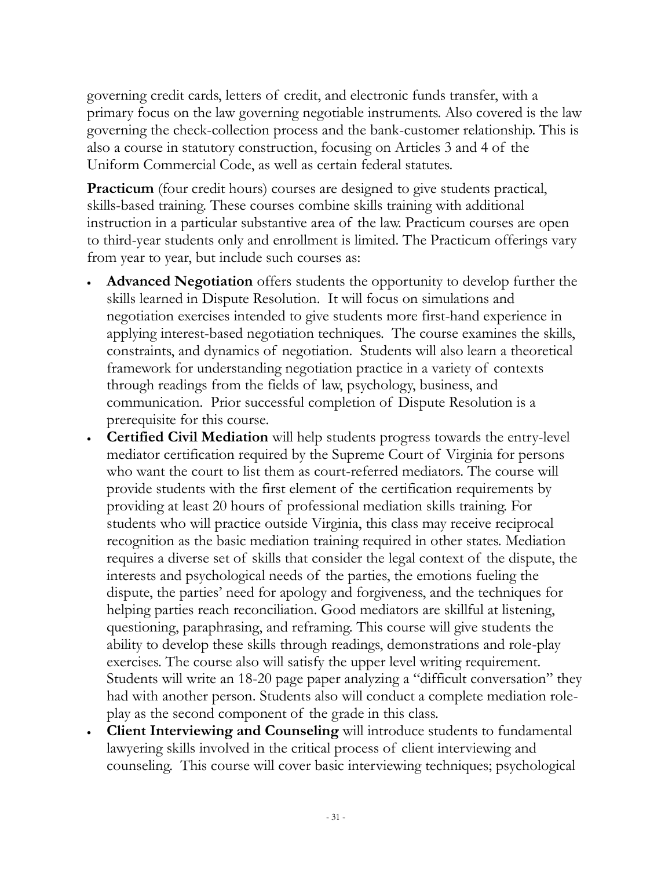governing credit cards, letters of credit, and electronic funds transfer, with a primary focus on the law governing negotiable instruments. Also covered is the law governing the check-collection process and the bank-customer relationship. This is also a course in statutory construction, focusing on Articles 3 and 4 of the Uniform Commercial Code, as well as certain federal statutes.

**Practicum** (four credit hours) courses are designed to give students practical, skills-based training. These courses combine skills training with additional instruction in a particular substantive area of the law. Practicum courses are open to third-year students only and enrollment is limited. The Practicum offerings vary from year to year, but include such courses as:

- **Advanced Negotiation** offers students the opportunity to develop further the skills learned in Dispute Resolution. It will focus on simulations and negotiation exercises intended to give students more first-hand experience in applying interest-based negotiation techniques. The course examines the skills, constraints, and dynamics of negotiation. Students will also learn a theoretical framework for understanding negotiation practice in a variety of contexts through readings from the fields of law, psychology, business, and communication. Prior successful completion of Dispute Resolution is a prerequisite for this course.
- **Certified Civil Mediation** will help students progress towards the entry-level mediator certification required by the Supreme Court of Virginia for persons who want the court to list them as court-referred mediators. The course will provide students with the first element of the certification requirements by providing at least 20 hours of professional mediation skills training. For students who will practice outside Virginia, this class may receive reciprocal recognition as the basic mediation training required in other states. Mediation requires a diverse set of skills that consider the legal context of the dispute, the interests and psychological needs of the parties, the emotions fueling the dispute, the parties' need for apology and forgiveness, and the techniques for helping parties reach reconciliation. Good mediators are skillful at listening, questioning, paraphrasing, and reframing. This course will give students the ability to develop these skills through readings, demonstrations and role-play exercises. The course also will satisfy the upper level writing requirement. Students will write an 18-20 page paper analyzing a "difficult conversation" they had with another person. Students also will conduct a complete mediation roleplay as the second component of the grade in this class.
- **Client Interviewing and Counseling** will introduce students to fundamental lawyering skills involved in the critical process of client interviewing and counseling. This course will cover basic interviewing techniques; psychological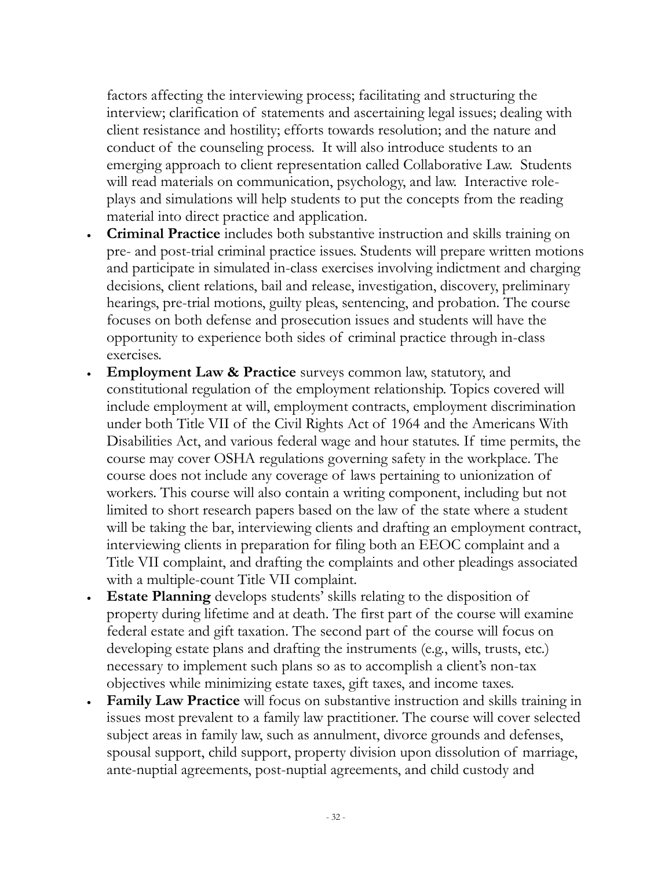factors affecting the interviewing process; facilitating and structuring the interview; clarification of statements and ascertaining legal issues; dealing with client resistance and hostility; efforts towards resolution; and the nature and conduct of the counseling process. It will also introduce students to an emerging approach to client representation called Collaborative Law. Students will read materials on communication, psychology, and law. Interactive roleplays and simulations will help students to put the concepts from the reading material into direct practice and application.

- **Criminal Practice** includes both substantive instruction and skills training on pre- and post-trial criminal practice issues. Students will prepare written motions and participate in simulated in-class exercises involving indictment and charging decisions, client relations, bail and release, investigation, discovery, preliminary hearings, pre-trial motions, guilty pleas, sentencing, and probation. The course focuses on both defense and prosecution issues and students will have the opportunity to experience both sides of criminal practice through in-class exercises.
- **Employment Law & Practice** surveys common law, statutory, and constitutional regulation of the employment relationship. Topics covered will include employment at will, employment contracts, employment discrimination under both Title VII of the Civil Rights Act of 1964 and the Americans With Disabilities Act, and various federal wage and hour statutes. If time permits, the course may cover OSHA regulations governing safety in the workplace. The course does not include any coverage of laws pertaining to unionization of workers. This course will also contain a writing component, including but not limited to short research papers based on the law of the state where a student will be taking the bar, interviewing clients and drafting an employment contract, interviewing clients in preparation for filing both an EEOC complaint and a Title VII complaint, and drafting the complaints and other pleadings associated with a multiple-count Title VII complaint.
- **Estate Planning** develops students' skills relating to the disposition of property during lifetime and at death. The first part of the course will examine federal estate and gift taxation. The second part of the course will focus on developing estate plans and drafting the instruments (e.g., wills, trusts, etc.) necessary to implement such plans so as to accomplish a client's non-tax objectives while minimizing estate taxes, gift taxes, and income taxes.
- **Family Law Practice** will focus on substantive instruction and skills training in issues most prevalent to a family law practitioner. The course will cover selected subject areas in family law, such as annulment, divorce grounds and defenses, spousal support, child support, property division upon dissolution of marriage, ante-nuptial agreements, post-nuptial agreements, and child custody and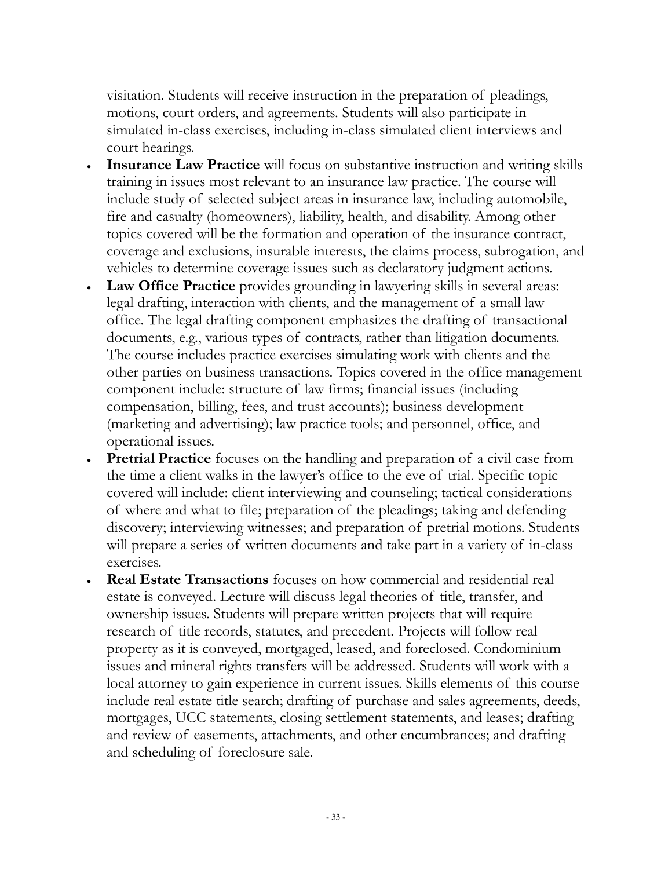visitation. Students will receive instruction in the preparation of pleadings, motions, court orders, and agreements. Students will also participate in simulated in-class exercises, including in-class simulated client interviews and court hearings.

- **Insurance Law Practice** will focus on substantive instruction and writing skills training in issues most relevant to an insurance law practice. The course will include study of selected subject areas in insurance law, including automobile, fire and casualty (homeowners), liability, health, and disability. Among other topics covered will be the formation and operation of the insurance contract, coverage and exclusions, insurable interests, the claims process, subrogation, and vehicles to determine coverage issues such as declaratory judgment actions.
- **Law Office Practice** provides grounding in lawyering skills in several areas: legal drafting, interaction with clients, and the management of a small law office. The legal drafting component emphasizes the drafting of transactional documents, e.g., various types of contracts, rather than litigation documents. The course includes practice exercises simulating work with clients and the other parties on business transactions. Topics covered in the office management component include: structure of law firms; financial issues (including compensation, billing, fees, and trust accounts); business development (marketing and advertising); law practice tools; and personnel, office, and operational issues.
- **Pretrial Practice** focuses on the handling and preparation of a civil case from the time a client walks in the lawyer's office to the eve of trial. Specific topic covered will include: client interviewing and counseling; tactical considerations of where and what to file; preparation of the pleadings; taking and defending discovery; interviewing witnesses; and preparation of pretrial motions. Students will prepare a series of written documents and take part in a variety of in-class exercises.
- **Real Estate Transactions** focuses on how commercial and residential real estate is conveyed. Lecture will discuss legal theories of title, transfer, and ownership issues. Students will prepare written projects that will require research of title records, statutes, and precedent. Projects will follow real property as it is conveyed, mortgaged, leased, and foreclosed. Condominium issues and mineral rights transfers will be addressed. Students will work with a local attorney to gain experience in current issues. Skills elements of this course include real estate title search; drafting of purchase and sales agreements, deeds, mortgages, UCC statements, closing settlement statements, and leases; drafting and review of easements, attachments, and other encumbrances; and drafting and scheduling of foreclosure sale.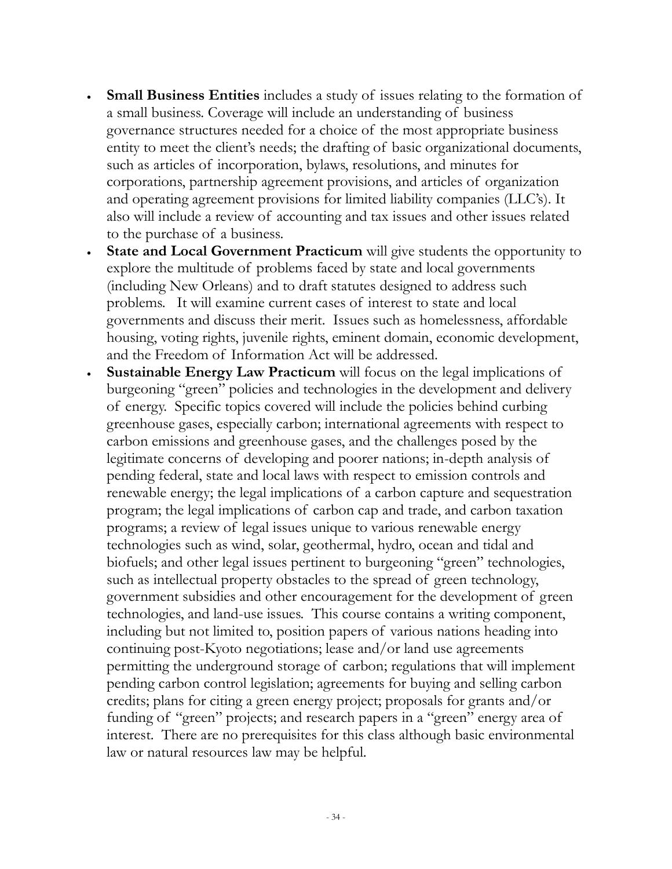- **Small Business Entities** includes a study of issues relating to the formation of a small business. Coverage will include an understanding of business governance structures needed for a choice of the most appropriate business entity to meet the client's needs; the drafting of basic organizational documents, such as articles of incorporation, bylaws, resolutions, and minutes for corporations, partnership agreement provisions, and articles of organization and operating agreement provisions for limited liability companies (LLC's). It also will include a review of accounting and tax issues and other issues related to the purchase of a business.
- **State and Local Government Practicum** will give students the opportunity to explore the multitude of problems faced by state and local governments (including New Orleans) and to draft statutes designed to address such problems. It will examine current cases of interest to state and local governments and discuss their merit. Issues such as homelessness, affordable housing, voting rights, juvenile rights, eminent domain, economic development, and the Freedom of Information Act will be addressed.
- **Sustainable Energy Law Practicum** will focus on the legal implications of burgeoning "green" policies and technologies in the development and delivery of energy. Specific topics covered will include the policies behind curbing greenhouse gases, especially carbon; international agreements with respect to carbon emissions and greenhouse gases, and the challenges posed by the legitimate concerns of developing and poorer nations; in-depth analysis of pending federal, state and local laws with respect to emission controls and renewable energy; the legal implications of a carbon capture and sequestration program; the legal implications of carbon cap and trade, and carbon taxation programs; a review of legal issues unique to various renewable energy technologies such as wind, solar, geothermal, hydro, ocean and tidal and biofuels; and other legal issues pertinent to burgeoning "green" technologies, such as intellectual property obstacles to the spread of green technology, government subsidies and other encouragement for the development of green technologies, and land-use issues. This course contains a writing component, including but not limited to, position papers of various nations heading into continuing post-Kyoto negotiations; lease and/or land use agreements permitting the underground storage of carbon; regulations that will implement pending carbon control legislation; agreements for buying and selling carbon credits; plans for citing a green energy project; proposals for grants and/or funding of "green" projects; and research papers in a "green" energy area of interest. There are no prerequisites for this class although basic environmental law or natural resources law may be helpful.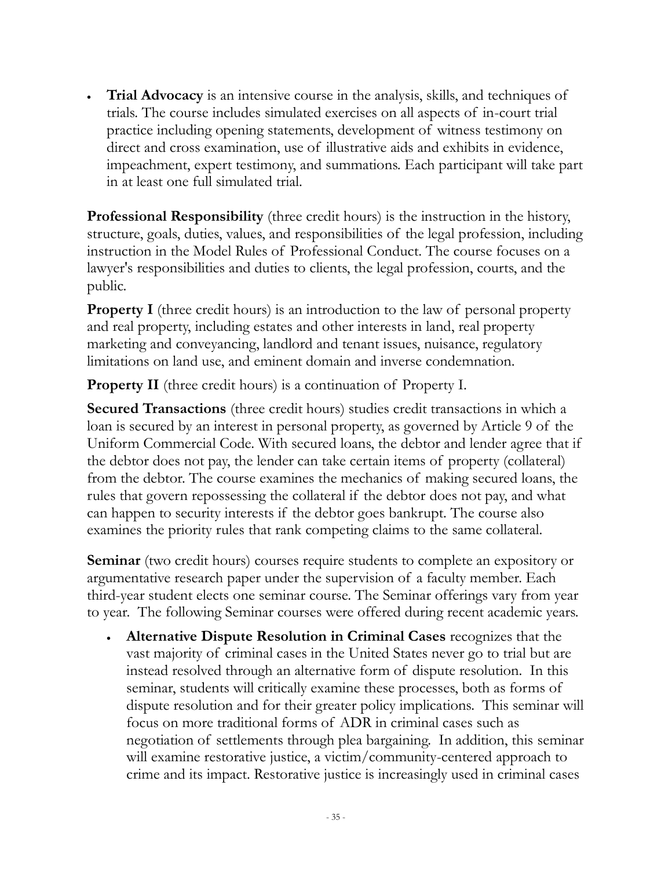**Trial Advocacy** is an intensive course in the analysis, skills, and techniques of trials. The course includes simulated exercises on all aspects of in-court trial practice including opening statements, development of witness testimony on direct and cross examination, use of illustrative aids and exhibits in evidence, impeachment, expert testimony, and summations. Each participant will take part in at least one full simulated trial.

**Professional Responsibility** (three credit hours) is the instruction in the history, structure, goals, duties, values, and responsibilities of the legal profession, including instruction in the Model Rules of Professional Conduct. The course focuses on a lawyer's responsibilities and duties to clients, the legal profession, courts, and the public.

**Property I** (three credit hours) is an introduction to the law of personal property and real property, including estates and other interests in land, real property marketing and conveyancing, landlord and tenant issues, nuisance, regulatory limitations on land use, and eminent domain and inverse condemnation.

**Property II** (three credit hours) is a continuation of Property I.

**Secured Transactions** (three credit hours) studies credit transactions in which a loan is secured by an interest in personal property, as governed by Article 9 of the Uniform Commercial Code. With secured loans, the debtor and lender agree that if the debtor does not pay, the lender can take certain items of property (collateral) from the debtor. The course examines the mechanics of making secured loans, the rules that govern repossessing the collateral if the debtor does not pay, and what can happen to security interests if the debtor goes bankrupt. The course also examines the priority rules that rank competing claims to the same collateral.

**Seminar** (two credit hours) courses require students to complete an expository or argumentative research paper under the supervision of a faculty member. Each third-year student elects one seminar course. The Seminar offerings vary from year to year. The following Seminar courses were offered during recent academic years.

 **Alternative Dispute Resolution in Criminal Cases** recognizes that the vast majority of criminal cases in the United States never go to trial but are instead resolved through an alternative form of dispute resolution. In this seminar, students will critically examine these processes, both as forms of dispute resolution and for their greater policy implications. This seminar will focus on more traditional forms of ADR in criminal cases such as negotiation of settlements through plea bargaining. In addition, this seminar will examine restorative justice, a victim/community-centered approach to crime and its impact. Restorative justice is increasingly used in criminal cases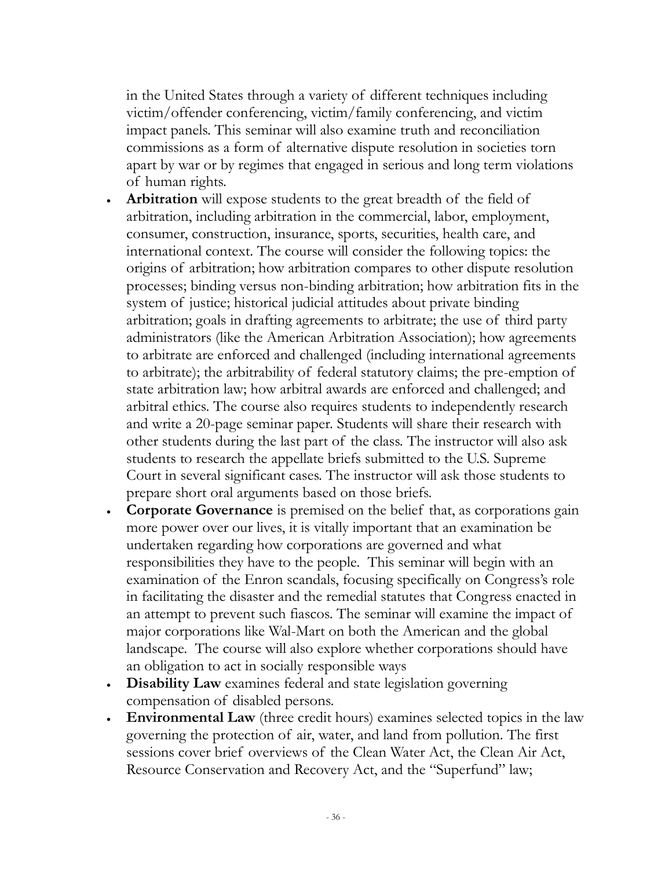in the United States through a variety of different techniques including victim/offender conferencing, victim/family conferencing, and victim impact panels. This seminar will also examine truth and reconciliation commissions as a form of alternative dispute resolution in societies torn apart by war or by regimes that engaged in serious and long term violations of human rights.

- **Arbitration** will expose students to the great breadth of the field of arbitration, including arbitration in the commercial, labor, employment, consumer, construction, insurance, sports, securities, health care, and international context. The course will consider the following topics: the origins of arbitration; how arbitration compares to other dispute resolution processes; binding versus non-binding arbitration; how arbitration fits in the system of justice; historical judicial attitudes about private binding arbitration; goals in drafting agreements to arbitrate; the use of third party administrators (like the American Arbitration Association); how agreements to arbitrate are enforced and challenged (including international agreements to arbitrate); the arbitrability of federal statutory claims; the pre-emption of state arbitration law; how arbitral awards are enforced and challenged; and arbitral ethics. The course also requires students to independently research and write a 20-page seminar paper. Students will share their research with other students during the last part of the class. The instructor will also ask students to research the appellate briefs submitted to the U.S. Supreme Court in several significant cases. The instructor will ask those students to prepare short oral arguments based on those briefs.
- **Corporate Governance** is premised on the belief that, as corporations gain more power over our lives, it is vitally important that an examination be undertaken regarding how corporations are governed and what responsibilities they have to the people. This seminar will begin with an examination of the Enron scandals, focusing specifically on Congress's role in facilitating the disaster and the remedial statutes that Congress enacted in an attempt to prevent such fiascos. The seminar will examine the impact of major corporations like Wal-Mart on both the American and the global landscape. The course will also explore whether corporations should have an obligation to act in socially responsible ways
- **Disability Law** examines federal and state legislation governing compensation of disabled persons.
- **Environmental Law** (three credit hours) examines selected topics in the law governing the protection of air, water, and land from pollution. The first sessions cover brief overviews of the Clean Water Act, the Clean Air Act, Resource Conservation and Recovery Act, and the "Superfund" law;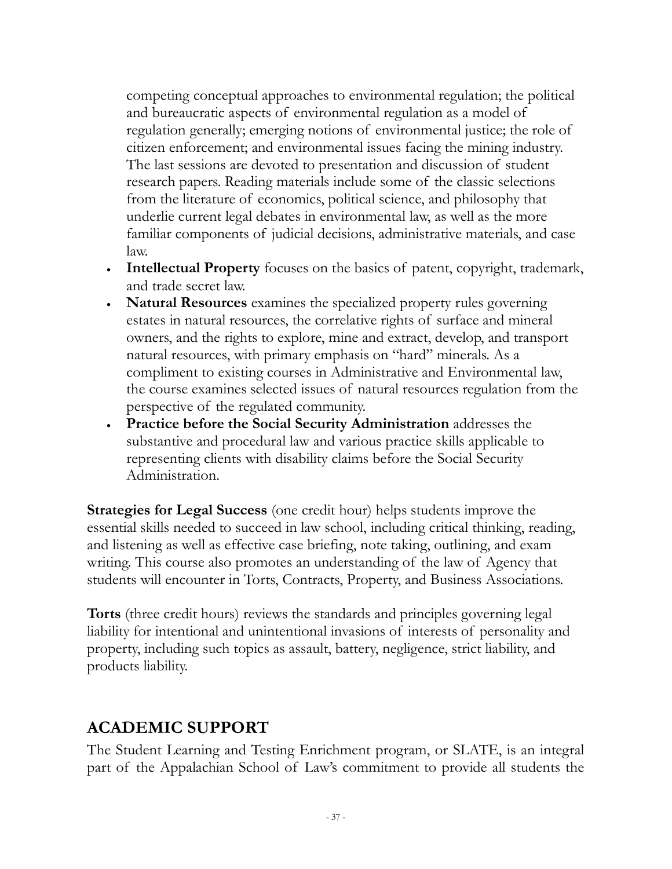competing conceptual approaches to environmental regulation; the political and bureaucratic aspects of environmental regulation as a model of regulation generally; emerging notions of environmental justice; the role of citizen enforcement; and environmental issues facing the mining industry. The last sessions are devoted to presentation and discussion of student research papers. Reading materials include some of the classic selections from the literature of economics, political science, and philosophy that underlie current legal debates in environmental law, as well as the more familiar components of judicial decisions, administrative materials, and case law.

- **Intellectual Property** focuses on the basics of patent, copyright, trademark, and trade secret law.
- **Natural Resources** examines the specialized property rules governing estates in natural resources, the correlative rights of surface and mineral owners, and the rights to explore, mine and extract, develop, and transport natural resources, with primary emphasis on "hard" minerals. As a compliment to existing courses in Administrative and Environmental law, the course examines selected issues of natural resources regulation from the perspective of the regulated community.
- **Practice before the Social Security Administration** addresses the substantive and procedural law and various practice skills applicable to representing clients with disability claims before the Social Security Administration.

**Strategies for Legal Success** (one credit hour) helps students improve the essential skills needed to succeed in law school, including critical thinking, reading, and listening as well as effective case briefing, note taking, outlining, and exam writing. This course also promotes an understanding of the law of Agency that students will encounter in Torts, Contracts, Property, and Business Associations.

**Torts** (three credit hours) reviews the standards and principles governing legal liability for intentional and unintentional invasions of interests of personality and property, including such topics as assault, battery, negligence, strict liability, and products liability.

# **ACADEMIC SUPPORT**

The Student Learning and Testing Enrichment program, or SLATE, is an integral part of the Appalachian School of Law's commitment to provide all students the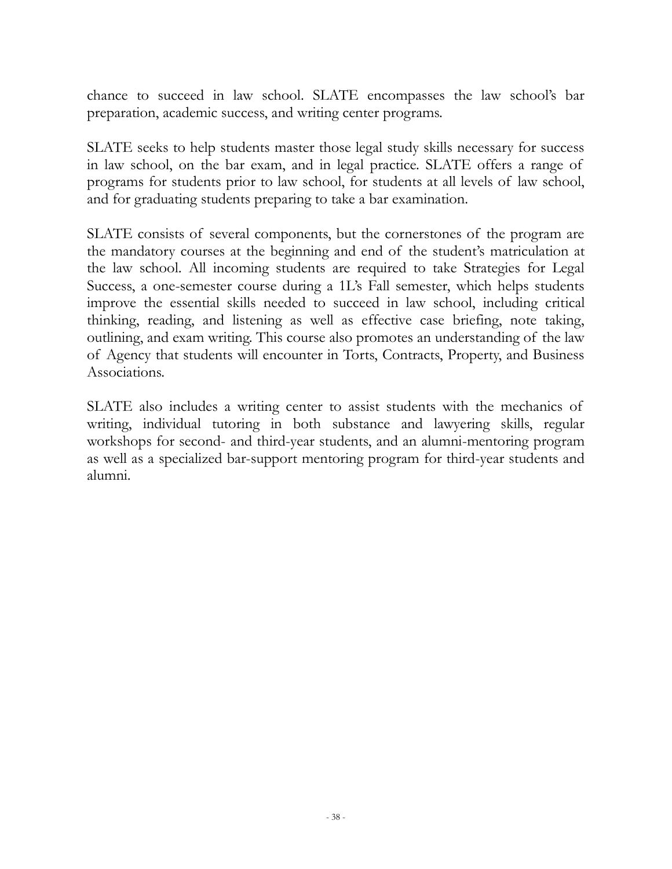chance to succeed in law school. SLATE encompasses the law school's bar preparation, academic success, and writing center programs.

SLATE seeks to help students master those legal study skills necessary for success in law school, on the bar exam, and in legal practice. SLATE offers a range of programs for students prior to law school, for students at all levels of law school, and for graduating students preparing to take a bar examination.

SLATE consists of several components, but the cornerstones of the program are the mandatory courses at the beginning and end of the student's matriculation at the law school. All incoming students are required to take Strategies for Legal Success, a one-semester course during a 1L's Fall semester, which helps students improve the essential skills needed to succeed in law school, including critical thinking, reading, and listening as well as effective case briefing, note taking, outlining, and exam writing. This course also promotes an understanding of the law of Agency that students will encounter in Torts, Contracts, Property, and Business Associations.

SLATE also includes a writing center to assist students with the mechanics of writing, individual tutoring in both substance and lawyering skills, regular workshops for second- and third-year students, and an alumni-mentoring program as well as a specialized bar-support mentoring program for third-year students and alumni.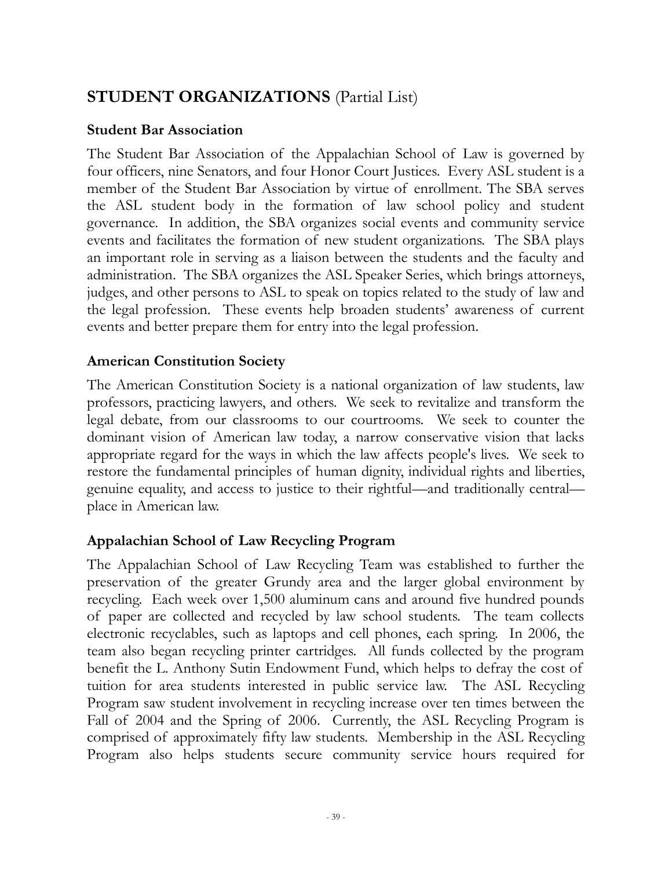# **STUDENT ORGANIZATIONS** (Partial List)

### **Student Bar Association**

The Student Bar Association of the Appalachian School of Law is governed by four officers, nine Senators, and four Honor Court Justices. Every ASL student is a member of the Student Bar Association by virtue of enrollment. The SBA serves the ASL student body in the formation of law school policy and student governance. In addition, the SBA organizes social events and community service events and facilitates the formation of new student organizations. The SBA plays an important role in serving as a liaison between the students and the faculty and administration. The SBA organizes the ASL Speaker Series, which brings attorneys, judges, and other persons to ASL to speak on topics related to the study of law and the legal profession. These events help broaden students' awareness of current events and better prepare them for entry into the legal profession.

# **American Constitution Society**

The American Constitution Society is a national organization of law students, law professors, practicing lawyers, and others. We seek to revitalize and transform the legal debate, from our classrooms to our courtrooms. We seek to counter the dominant vision of American law today, a narrow conservative vision that lacks appropriate regard for the ways in which the law affects people's lives. We seek to restore the fundamental principles of human dignity, individual rights and liberties, genuine equality, and access to justice to their rightful—and traditionally central place in American law.

# **Appalachian School of Law Recycling Program**

The Appalachian School of Law Recycling Team was established to further the preservation of the greater Grundy area and the larger global environment by recycling. Each week over 1,500 aluminum cans and around five hundred pounds of paper are collected and recycled by law school students. The team collects electronic recyclables, such as laptops and cell phones, each spring. In 2006, the team also began recycling printer cartridges. All funds collected by the program benefit the L. Anthony Sutin Endowment Fund, which helps to defray the cost of tuition for area students interested in public service law. The ASL Recycling Program saw student involvement in recycling increase over ten times between the Fall of 2004 and the Spring of 2006. Currently, the ASL Recycling Program is comprised of approximately fifty law students. Membership in the ASL Recycling Program also helps students secure community service hours required for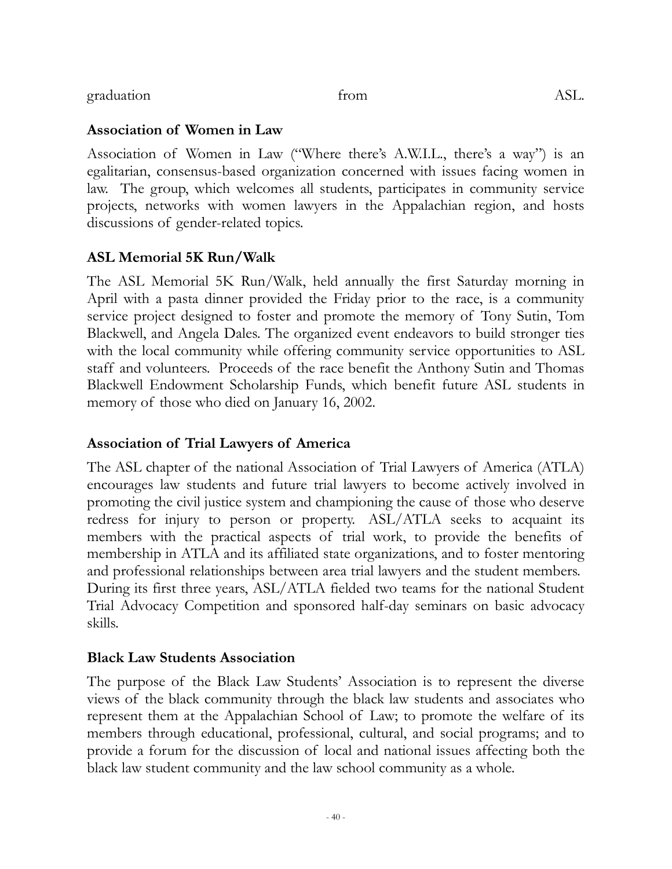Association of Women in Law ("Where there's A.W.I.L., there's a way") is an egalitarian, consensus-based organization concerned with issues facing women in law. The group, which welcomes all students, participates in community service projects, networks with women lawyers in the Appalachian region, and hosts

The ASL Memorial 5K Run/Walk, held annually the first Saturday morning in April with a pasta dinner provided the Friday prior to the race, is a community service project designed to foster and promote the memory of Tony Sutin, Tom Blackwell, and Angela Dales. The organized event endeavors to build stronger ties with the local community while offering community service opportunities to ASL staff and volunteers. Proceeds of the race benefit the Anthony Sutin and Thomas Blackwell Endowment Scholarship Funds, which benefit future ASL students in memory of those who died on January 16, 2002.

#### **Association of Trial Lawyers of America**

The ASL chapter of the national Association of Trial Lawyers of America (ATLA) encourages law students and future trial lawyers to become actively involved in promoting the civil justice system and championing the cause of those who deserve redress for injury to person or property. ASL/ATLA seeks to acquaint its members with the practical aspects of trial work, to provide the benefits of membership in ATLA and its affiliated state organizations, and to foster mentoring and professional relationships between area trial lawyers and the student members. During its first three years, ASL/ATLA fielded two teams for the national Student Trial Advocacy Competition and sponsored half-day seminars on basic advocacy skills.

#### **Black Law Students Association**

The purpose of the Black Law Students' Association is to represent the diverse views of the black community through the black law students and associates who represent them at the Appalachian School of Law; to promote the welfare of its members through educational, professional, cultural, and social programs; and to provide a forum for the discussion of local and national issues affecting both the black law student community and the law school community as a whole.

- 40 -

**Association of Women in Law**

discussions of gender-related topics.

**ASL Memorial 5K Run/Walk**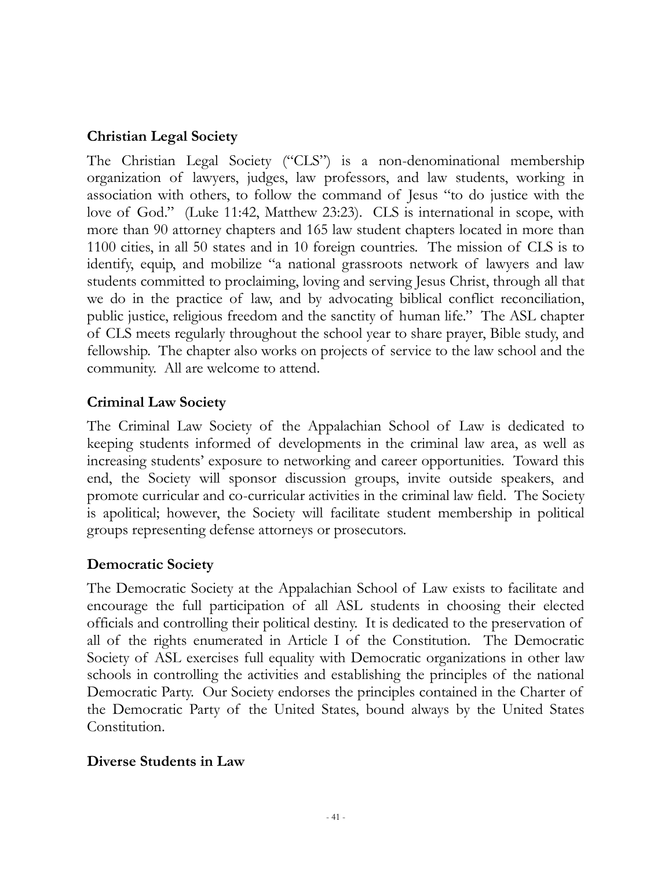### **Christian Legal Society**

The Christian Legal Society ("CLS") is a non-denominational membership organization of lawyers, judges, law professors, and law students, working in association with others, to follow the command of Jesus "to do justice with the love of God." (Luke 11:42, Matthew 23:23). CLS is international in scope, with more than 90 attorney chapters and 165 law student chapters located in more than 1100 cities, in all 50 states and in 10 foreign countries. The mission of CLS is to identify, equip, and mobilize "a national grassroots network of lawyers and law students committed to proclaiming, loving and serving Jesus Christ, through all that we do in the practice of law, and by advocating biblical conflict reconciliation, public justice, religious freedom and the sanctity of human life." The ASL chapter of CLS meets regularly throughout the school year to share prayer, Bible study, and fellowship. The chapter also works on projects of service to the law school and the community. All are welcome to attend.

#### **Criminal Law Society**

The Criminal Law Society of the Appalachian School of Law is dedicated to keeping students informed of developments in the criminal law area, as well as increasing students' exposure to networking and career opportunities. Toward this end, the Society will sponsor discussion groups, invite outside speakers, and promote curricular and co-curricular activities in the criminal law field. The Society is apolitical; however, the Society will facilitate student membership in political groups representing defense attorneys or prosecutors.

#### **Democratic Society**

The Democratic Society at the Appalachian School of Law exists to facilitate and encourage the full participation of all ASL students in choosing their elected officials and controlling their political destiny. It is dedicated to the preservation of all of the rights enumerated in Article I of the Constitution. The Democratic Society of ASL exercises full equality with Democratic organizations in other law schools in controlling the activities and establishing the principles of the national Democratic Party. Our Society endorses the principles contained in the Charter of the Democratic Party of the United States, bound always by the United States Constitution.

#### **Diverse Students in Law**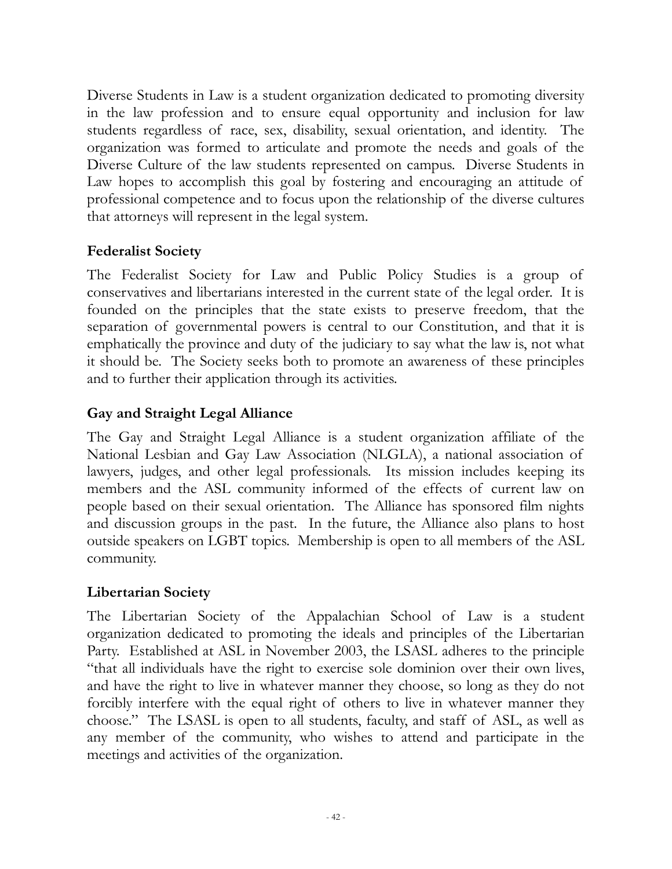Diverse Students in Law is a student organization dedicated to promoting diversity in the law profession and to ensure equal opportunity and inclusion for law students regardless of race, sex, disability, sexual orientation, and identity. The organization was formed to articulate and promote the needs and goals of the Diverse Culture of the law students represented on campus. Diverse Students in Law hopes to accomplish this goal by fostering and encouraging an attitude of professional competence and to focus upon the relationship of the diverse cultures that attorneys will represent in the legal system.

# **Federalist Society**

The Federalist Society for Law and Public Policy Studies is a group of conservatives and libertarians interested in the current state of the legal order. It is founded on the principles that the state exists to preserve freedom, that the separation of governmental powers is central to our Constitution, and that it is emphatically the province and duty of the judiciary to say what the law is, not what it should be. The Society seeks both to promote an awareness of these principles and to further their application through its activities.

# **Gay and Straight Legal Alliance**

The Gay and Straight Legal Alliance is a student organization affiliate of the National Lesbian and Gay Law Association (NLGLA), a national association of lawyers, judges, and other legal professionals. Its mission includes keeping its members and the ASL community informed of the effects of current law on people based on their sexual orientation. The Alliance has sponsored film nights and discussion groups in the past. In the future, the Alliance also plans to host outside speakers on LGBT topics. Membership is open to all members of the ASL community.

# **Libertarian Society**

The Libertarian Society of the Appalachian School of Law is a student organization dedicated to promoting the ideals and principles of the Libertarian Party. Established at ASL in November 2003, the LSASL adheres to the principle "that all individuals have the right to exercise sole dominion over their own lives, and have the right to live in whatever manner they choose, so long as they do not forcibly interfere with the equal right of others to live in whatever manner they choose." The LSASL is open to all students, faculty, and staff of ASL, as well as any member of the community, who wishes to attend and participate in the meetings and activities of the organization.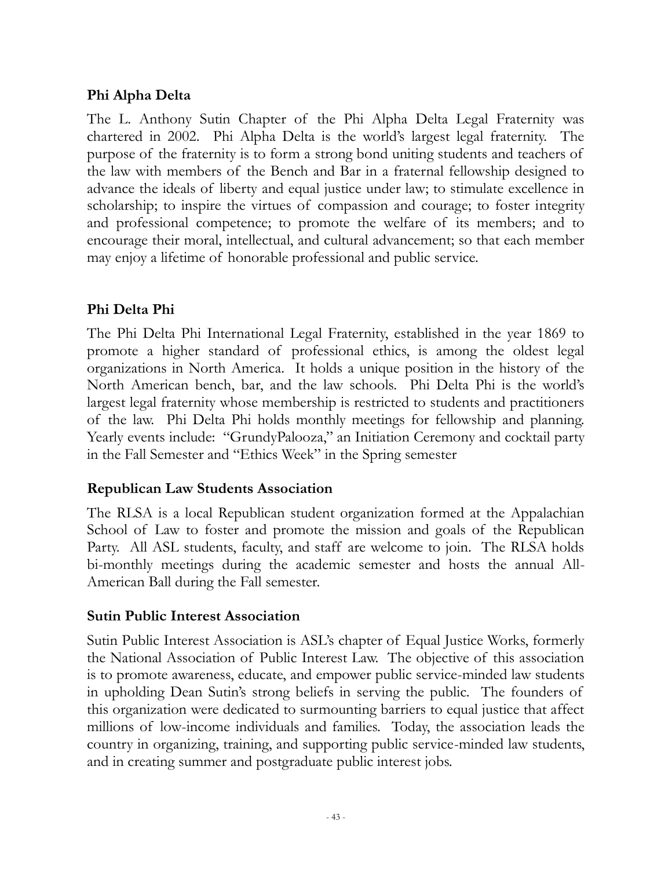# **Phi Alpha Delta**

The L. Anthony Sutin Chapter of the Phi Alpha Delta Legal Fraternity was chartered in 2002. Phi Alpha Delta is the world's largest legal fraternity. The purpose of the fraternity is to form a strong bond uniting students and teachers of the law with members of the Bench and Bar in a fraternal fellowship designed to advance the ideals of liberty and equal justice under law; to stimulate excellence in scholarship; to inspire the virtues of compassion and courage; to foster integrity and professional competence; to promote the welfare of its members; and to encourage their moral, intellectual, and cultural advancement; so that each member may enjoy a lifetime of honorable professional and public service.

# **Phi Delta Phi**

The Phi Delta Phi International Legal Fraternity, established in the year 1869 to promote a higher standard of professional ethics, is among the oldest legal organizations in North America. It holds a unique position in the history of the North American bench, bar, and the law schools. Phi Delta Phi is the world's largest legal fraternity whose membership is restricted to students and practitioners of the law. Phi Delta Phi holds monthly meetings for fellowship and planning. Yearly events include: "GrundyPalooza," an Initiation Ceremony and cocktail party in the Fall Semester and "Ethics Week" in the Spring semester

# **Republican Law Students Association**

The RLSA is a local Republican student organization formed at the Appalachian School of Law to foster and promote the mission and goals of the Republican Party. All ASL students, faculty, and staff are welcome to join. The RLSA holds bi-monthly meetings during the academic semester and hosts the annual All-American Ball during the Fall semester.

#### **Sutin Public Interest Association**

Sutin Public Interest Association is ASL's chapter of Equal Justice Works, formerly the National Association of Public Interest Law. The objective of this association is to promote awareness, educate, and empower public service-minded law students in upholding Dean Sutin's strong beliefs in serving the public. The founders of this organization were dedicated to surmounting barriers to equal justice that affect millions of low-income individuals and families. Today, the association leads the country in organizing, training, and supporting public service-minded law students, and in creating summer and postgraduate public interest jobs.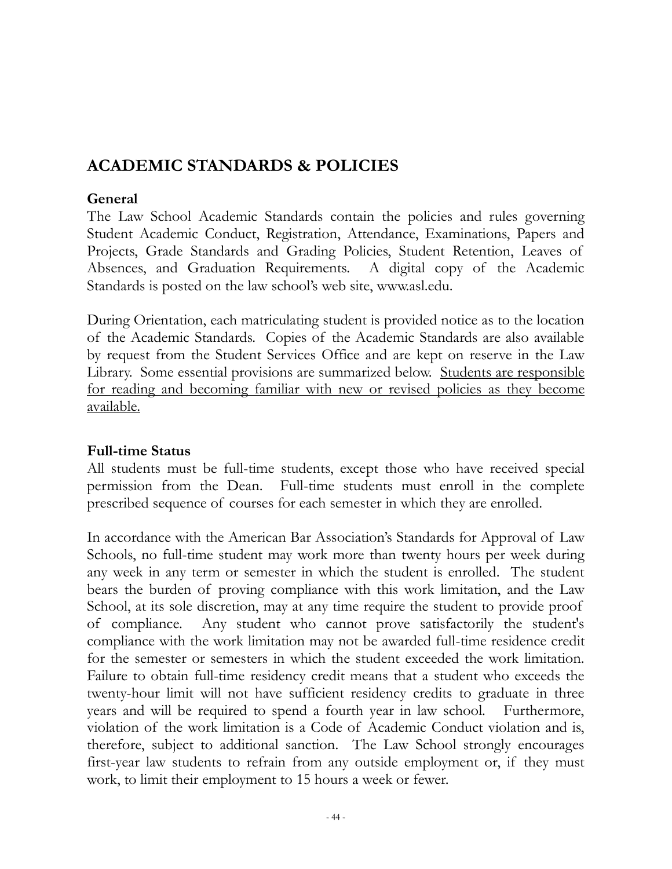# **ACADEMIC STANDARDS & POLICIES**

#### **General**

The Law School Academic Standards contain the policies and rules governing Student Academic Conduct, Registration, Attendance, Examinations, Papers and Projects, Grade Standards and Grading Policies, Student Retention, Leaves of Absences, and Graduation Requirements. A digital copy of the Academic Standards is posted on the law school's web site, www.asl.edu.

During Orientation, each matriculating student is provided notice as to the location of the Academic Standards. Copies of the Academic Standards are also available by request from the Student Services Office and are kept on reserve in the Law Library. Some essential provisions are summarized below. Students are responsible for reading and becoming familiar with new or revised policies as they become available.

# **Full-time Status**

All students must be full-time students, except those who have received special permission from the Dean. Full-time students must enroll in the complete prescribed sequence of courses for each semester in which they are enrolled.

In accordance with the American Bar Association's Standards for Approval of Law Schools, no full-time student may work more than twenty hours per week during any week in any term or semester in which the student is enrolled. The student bears the burden of proving compliance with this work limitation, and the Law School, at its sole discretion, may at any time require the student to provide proof of compliance. Any student who cannot prove satisfactorily the student's compliance with the work limitation may not be awarded full-time residence credit for the semester or semesters in which the student exceeded the work limitation. Failure to obtain full-time residency credit means that a student who exceeds the twenty-hour limit will not have sufficient residency credits to graduate in three years and will be required to spend a fourth year in law school. Furthermore, violation of the work limitation is a Code of Academic Conduct violation and is, therefore, subject to additional sanction. The Law School strongly encourages first-year law students to refrain from any outside employment or, if they must work, to limit their employment to 15 hours a week or fewer.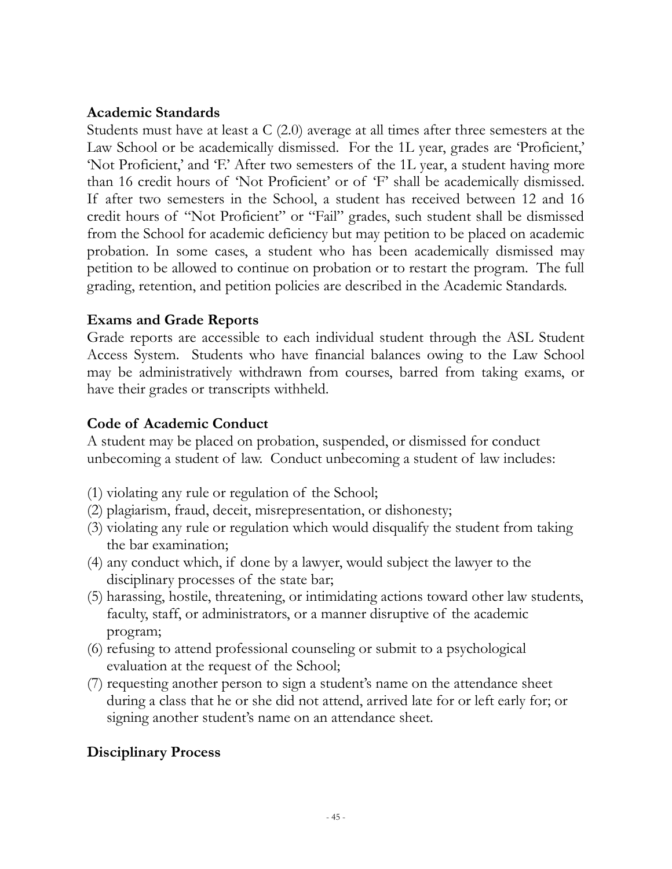#### **Academic Standards**

Students must have at least a  $C(2.0)$  average at all times after three semesters at the Law School or be academically dismissed. For the 1L year, grades are 'Proficient,' 'Not Proficient,' and 'F.' After two semesters of the 1L year, a student having more than 16 credit hours of 'Not Proficient' or of 'F' shall be academically dismissed. If after two semesters in the School, a student has received between 12 and 16 credit hours of "Not Proficient" or "Fail" grades, such student shall be dismissed from the School for academic deficiency but may petition to be placed on academic probation. In some cases, a student who has been academically dismissed may petition to be allowed to continue on probation or to restart the program. The full grading, retention, and petition policies are described in the Academic Standards.

#### **Exams and Grade Reports**

Grade reports are accessible to each individual student through the ASL Student Access System. Students who have financial balances owing to the Law School may be administratively withdrawn from courses, barred from taking exams, or have their grades or transcripts withheld.

### **Code of Academic Conduct**

A student may be placed on probation, suspended, or dismissed for conduct unbecoming a student of law. Conduct unbecoming a student of law includes:

- (1) violating any rule or regulation of the School;
- (2) plagiarism, fraud, deceit, misrepresentation, or dishonesty;
- (3) violating any rule or regulation which would disqualify the student from taking the bar examination;
- (4) any conduct which, if done by a lawyer, would subject the lawyer to the disciplinary processes of the state bar;
- (5) harassing, hostile, threatening, or intimidating actions toward other law students, faculty, staff, or administrators, or a manner disruptive of the academic program;
- (6) refusing to attend professional counseling or submit to a psychological evaluation at the request of the School;
- (7) requesting another person to sign a student's name on the attendance sheet during a class that he or she did not attend, arrived late for or left early for; or signing another student's name on an attendance sheet.

# **Disciplinary Process**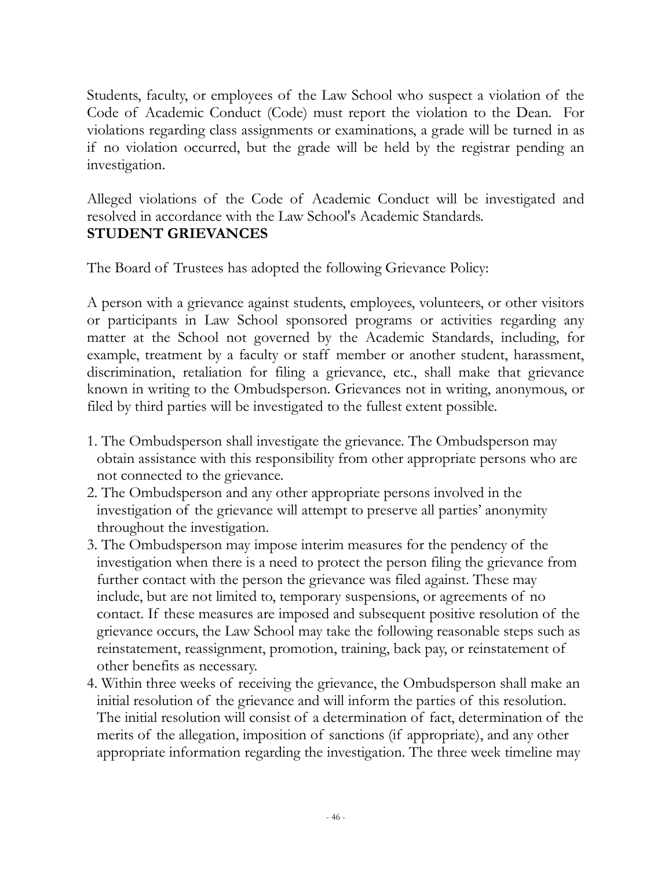Students, faculty, or employees of the Law School who suspect a violation of the Code of Academic Conduct (Code) must report the violation to the Dean. For violations regarding class assignments or examinations, a grade will be turned in as if no violation occurred, but the grade will be held by the registrar pending an investigation.

Alleged violations of the Code of Academic Conduct will be investigated and resolved in accordance with the Law School's Academic Standards. **STUDENT GRIEVANCES**

The Board of Trustees has adopted the following Grievance Policy:

A person with a grievance against students, employees, volunteers, or other visitors or participants in Law School sponsored programs or activities regarding any matter at the School not governed by the Academic Standards, including, for example, treatment by a faculty or staff member or another student, harassment, discrimination, retaliation for filing a grievance, etc., shall make that grievance known in writing to the Ombudsperson. Grievances not in writing, anonymous, or filed by third parties will be investigated to the fullest extent possible.

- 1. The Ombudsperson shall investigate the grievance. The Ombudsperson may obtain assistance with this responsibility from other appropriate persons who are not connected to the grievance.
- 2. The Ombudsperson and any other appropriate persons involved in the investigation of the grievance will attempt to preserve all parties' anonymity throughout the investigation.
- 3. The Ombudsperson may impose interim measures for the pendency of the investigation when there is a need to protect the person filing the grievance from further contact with the person the grievance was filed against. These may include, but are not limited to, temporary suspensions, or agreements of no contact. If these measures are imposed and subsequent positive resolution of the grievance occurs, the Law School may take the following reasonable steps such as reinstatement, reassignment, promotion, training, back pay, or reinstatement of other benefits as necessary.
- 4. Within three weeks of receiving the grievance, the Ombudsperson shall make an initial resolution of the grievance and will inform the parties of this resolution. The initial resolution will consist of a determination of fact, determination of the merits of the allegation, imposition of sanctions (if appropriate), and any other appropriate information regarding the investigation. The three week timeline may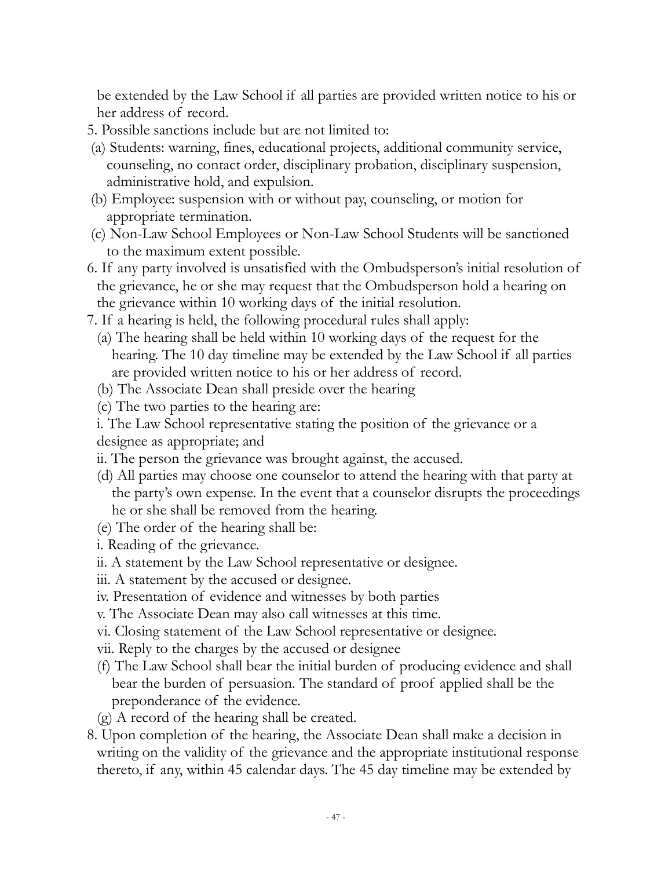be extended by the Law School if all parties are provided written notice to his or her address of record.

- 5. Possible sanctions include but are not limited to:
- (a) Students: warning, fines, educational projects, additional community service, counseling, no contact order, disciplinary probation, disciplinary suspension, administrative hold, and expulsion.
- (b) Employee: suspension with or without pay, counseling, or motion for appropriate termination.
- (c) Non-Law School Employees or Non-Law School Students will be sanctioned to the maximum extent possible.
- 6. If any party involved is unsatisfied with the Ombudsperson's initial resolution of the grievance, he or she may request that the Ombudsperson hold a hearing on the grievance within 10 working days of the initial resolution.
- 7. If a hearing is held, the following procedural rules shall apply:
	- (a) The hearing shall be held within 10 working days of the request for the hearing. The 10 day timeline may be extended by the Law School if all parties are provided written notice to his or her address of record.
	- (b) The Associate Dean shall preside over the hearing
	- (c) The two parties to the hearing are:

i. The Law School representative stating the position of the grievance or a designee as appropriate; and

- ii. The person the grievance was brought against, the accused.
- (d) All parties may choose one counselor to attend the hearing with that party at the party's own expense. In the event that a counselor disrupts the proceedings he or she shall be removed from the hearing.
- (e) The order of the hearing shall be:
- i. Reading of the grievance.
- ii. A statement by the Law School representative or designee.
- iii. A statement by the accused or designee.
- iv. Presentation of evidence and witnesses by both parties
- v. The Associate Dean may also call witnesses at this time.
- vi. Closing statement of the Law School representative or designee.
- vii. Reply to the charges by the accused or designee
- (f) The Law School shall bear the initial burden of producing evidence and shall bear the burden of persuasion. The standard of proof applied shall be the preponderance of the evidence.
- (g) A record of the hearing shall be created.
- 8. Upon completion of the hearing, the Associate Dean shall make a decision in writing on the validity of the grievance and the appropriate institutional response thereto, if any, within 45 calendar days. The 45 day timeline may be extended by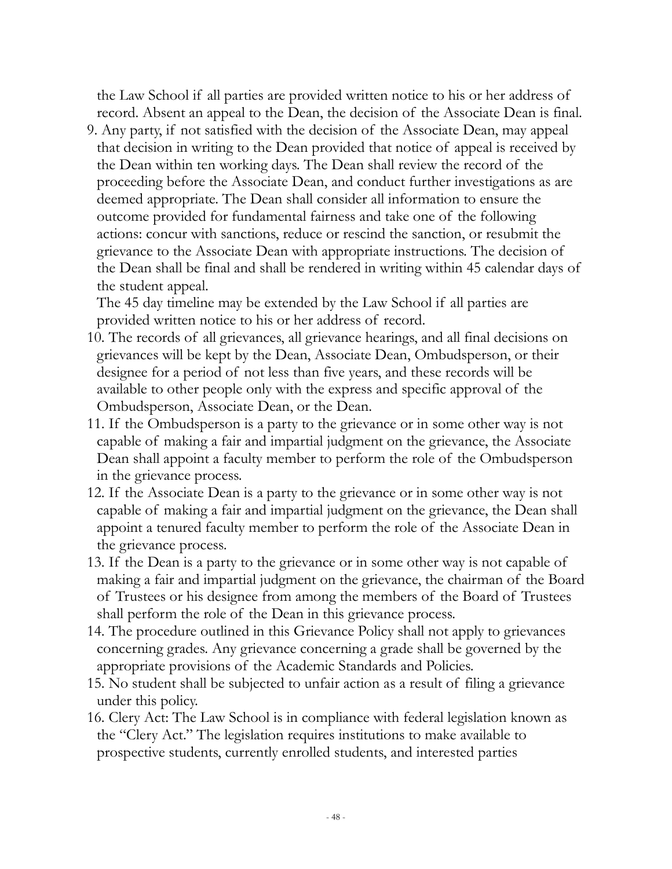the Law School if all parties are provided written notice to his or her address of record. Absent an appeal to the Dean, the decision of the Associate Dean is final.

9. Any party, if not satisfied with the decision of the Associate Dean, may appeal that decision in writing to the Dean provided that notice of appeal is received by the Dean within ten working days. The Dean shall review the record of the proceeding before the Associate Dean, and conduct further investigations as are deemed appropriate. The Dean shall consider all information to ensure the outcome provided for fundamental fairness and take one of the following actions: concur with sanctions, reduce or rescind the sanction, or resubmit the grievance to the Associate Dean with appropriate instructions. The decision of the Dean shall be final and shall be rendered in writing within 45 calendar days of the student appeal.

The 45 day timeline may be extended by the Law School if all parties are provided written notice to his or her address of record.

- 10. The records of all grievances, all grievance hearings, and all final decisions on grievances will be kept by the Dean, Associate Dean, Ombudsperson, or their designee for a period of not less than five years, and these records will be available to other people only with the express and specific approval of the Ombudsperson, Associate Dean, or the Dean.
- 11. If the Ombudsperson is a party to the grievance or in some other way is not capable of making a fair and impartial judgment on the grievance, the Associate Dean shall appoint a faculty member to perform the role of the Ombudsperson in the grievance process.
- 12. If the Associate Dean is a party to the grievance or in some other way is not capable of making a fair and impartial judgment on the grievance, the Dean shall appoint a tenured faculty member to perform the role of the Associate Dean in the grievance process.
- 13. If the Dean is a party to the grievance or in some other way is not capable of making a fair and impartial judgment on the grievance, the chairman of the Board of Trustees or his designee from among the members of the Board of Trustees shall perform the role of the Dean in this grievance process.
- 14. The procedure outlined in this Grievance Policy shall not apply to grievances concerning grades. Any grievance concerning a grade shall be governed by the appropriate provisions of the Academic Standards and Policies.
- 15. No student shall be subjected to unfair action as a result of filing a grievance under this policy.
- 16. Clery Act: The Law School is in compliance with federal legislation known as the "Clery Act." The legislation requires institutions to make available to prospective students, currently enrolled students, and interested parties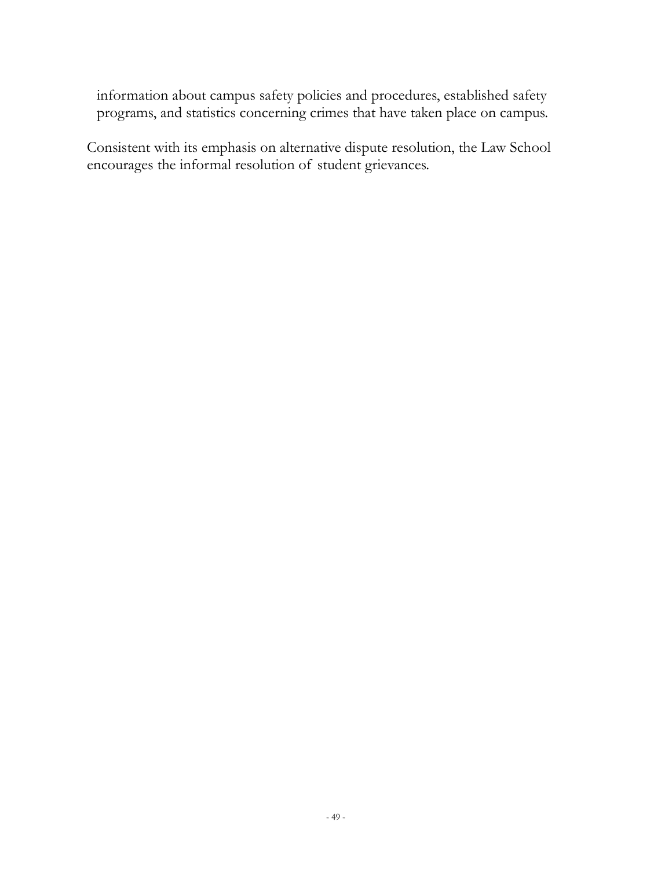information about campus safety policies and procedures, established safety programs, and statistics concerning crimes that have taken place on campus.

Consistent with its emphasis on alternative dispute resolution, the Law School encourages the informal resolution of student grievances.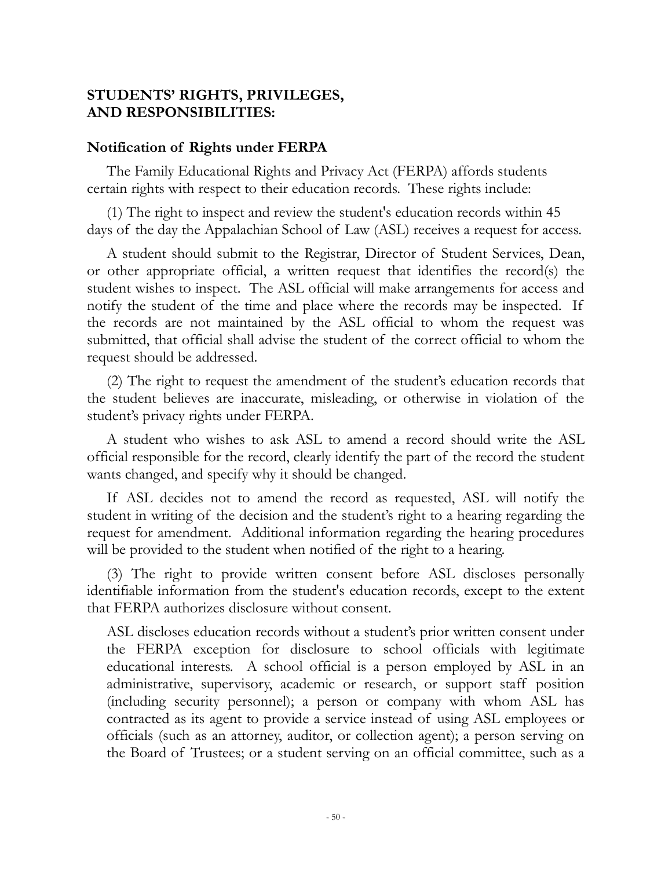#### **STUDENTS' RIGHTS, PRIVILEGES, AND RESPONSIBILITIES:**

#### **Notification of Rights under FERPA**

The Family Educational Rights and Privacy Act (FERPA) affords students certain rights with respect to their education records. These rights include:

(1) The right to inspect and review the student's education records within 45 days of the day the Appalachian School of Law (ASL) receives a request for access.

A student should submit to the Registrar, Director of Student Services, Dean, or other appropriate official, a written request that identifies the record(s) the student wishes to inspect. The ASL official will make arrangements for access and notify the student of the time and place where the records may be inspected. If the records are not maintained by the ASL official to whom the request was submitted, that official shall advise the student of the correct official to whom the request should be addressed.

(2) The right to request the amendment of the student's education records that the student believes are inaccurate, misleading, or otherwise in violation of the student's privacy rights under FERPA.

A student who wishes to ask ASL to amend a record should write the ASL official responsible for the record, clearly identify the part of the record the student wants changed, and specify why it should be changed.

If ASL decides not to amend the record as requested, ASL will notify the student in writing of the decision and the student's right to a hearing regarding the request for amendment. Additional information regarding the hearing procedures will be provided to the student when notified of the right to a hearing.

(3) The right to provide written consent before ASL discloses personally identifiable information from the student's education records, except to the extent that FERPA authorizes disclosure without consent.

ASL discloses education records without a student's prior written consent under the FERPA exception for disclosure to school officials with legitimate educational interests. A school official is a person employed by ASL in an administrative, supervisory, academic or research, or support staff position (including security personnel); a person or company with whom ASL has contracted as its agent to provide a service instead of using ASL employees or officials (such as an attorney, auditor, or collection agent); a person serving on the Board of Trustees; or a student serving on an official committee, such as a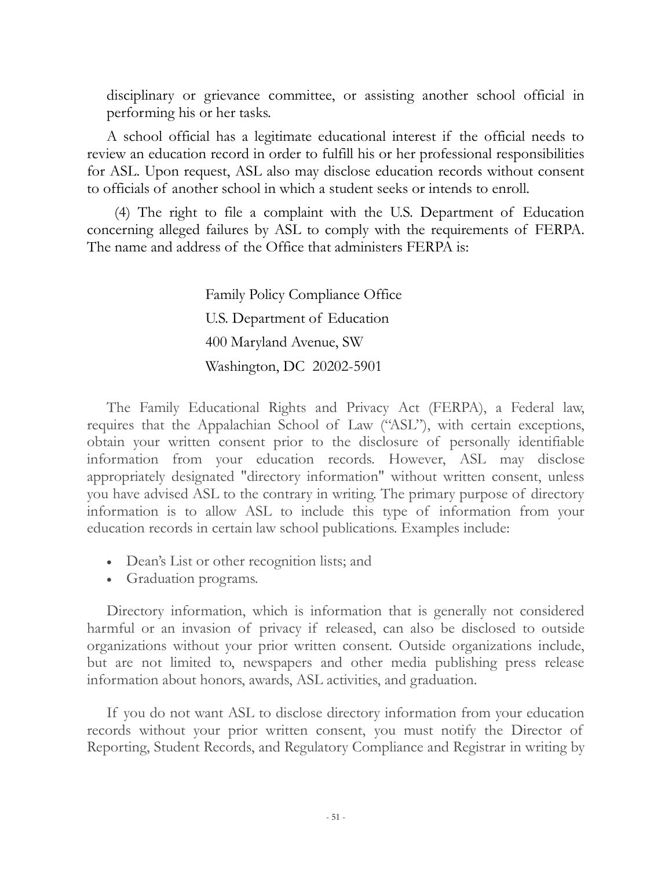disciplinary or grievance committee, or assisting another school official in performing his or her tasks.

A school official has a legitimate educational interest if the official needs to review an education record in order to fulfill his or her professional responsibilities for ASL. Upon request, ASL also may disclose education records without consent to officials of another school in which a student seeks or intends to enroll.

 (4) The right to file a complaint with the U.S. Department of Education concerning alleged failures by ASL to comply with the requirements of FERPA. The name and address of the Office that administers FERPA is:

> Family Policy Compliance Office U.S. Department of Education 400 Maryland Avenue, SW Washington, DC 20202-5901

The Family Educational Rights and Privacy Act (FERPA), a Federal law, requires that the Appalachian School of Law ("ASL"), with certain exceptions, obtain your written consent prior to the disclosure of personally identifiable information from your education records. However, ASL may disclose appropriately designated "directory information" without written consent, unless you have advised ASL to the contrary in writing. The primary purpose of directory information is to allow ASL to include this type of information from your education records in certain law school publications. Examples include:

- Dean's List or other recognition lists; and
- Graduation programs.

Directory information, which is information that is generally not considered harmful or an invasion of privacy if released, can also be disclosed to outside organizations without your prior written consent. Outside organizations include, but are not limited to, newspapers and other media publishing press release information about honors, awards, ASL activities, and graduation.

If you do not want ASL to disclose directory information from your education records without your prior written consent, you must notify the Director of Reporting, Student Records, and Regulatory Compliance and Registrar in writing by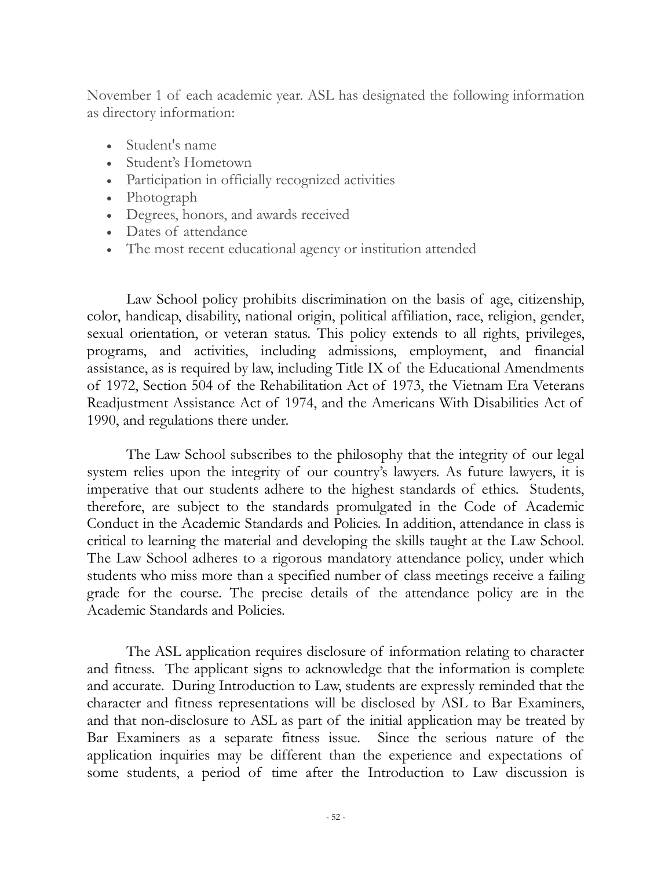November 1 of each academic year. ASL has designated the following information as directory information:

- Student's name
- Student's Hometown
- Participation in officially recognized activities
- Photograph
- Degrees, honors, and awards received
- Dates of attendance
- The most recent educational agency or institution attended

Law School policy prohibits discrimination on the basis of age, citizenship, color, handicap, disability, national origin, political affiliation, race, religion, gender, sexual orientation, or veteran status. This policy extends to all rights, privileges, programs, and activities, including admissions, employment, and financial assistance, as is required by law, including Title IX of the Educational Amendments of 1972, Section 504 of the Rehabilitation Act of 1973, the Vietnam Era Veterans Readjustment Assistance Act of 1974, and the Americans With Disabilities Act of 1990, and regulations there under.

The Law School subscribes to the philosophy that the integrity of our legal system relies upon the integrity of our country's lawyers. As future lawyers, it is imperative that our students adhere to the highest standards of ethics. Students, therefore, are subject to the standards promulgated in the Code of Academic Conduct in the Academic Standards and Policies. In addition, attendance in class is critical to learning the material and developing the skills taught at the Law School. The Law School adheres to a rigorous mandatory attendance policy, under which students who miss more than a specified number of class meetings receive a failing grade for the course. The precise details of the attendance policy are in the Academic Standards and Policies.

The ASL application requires disclosure of information relating to character and fitness. The applicant signs to acknowledge that the information is complete and accurate. During Introduction to Law, students are expressly reminded that the character and fitness representations will be disclosed by ASL to Bar Examiners, and that non-disclosure to ASL as part of the initial application may be treated by Bar Examiners as a separate fitness issue. Since the serious nature of the application inquiries may be different than the experience and expectations of some students, a period of time after the Introduction to Law discussion is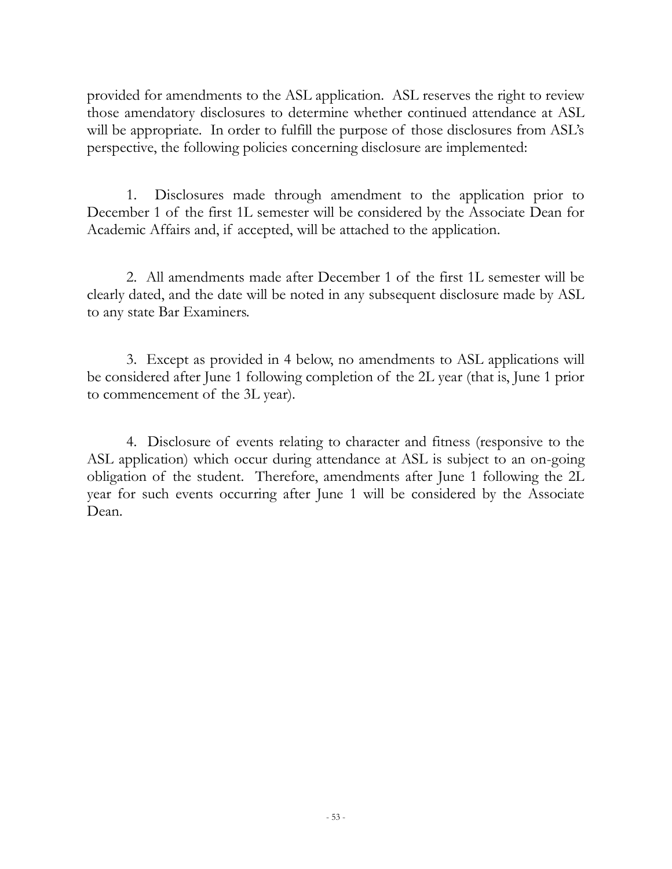provided for amendments to the ASL application. ASL reserves the right to review those amendatory disclosures to determine whether continued attendance at ASL will be appropriate. In order to fulfill the purpose of those disclosures from ASL's perspective, the following policies concerning disclosure are implemented:

1. Disclosures made through amendment to the application prior to December 1 of the first 1L semester will be considered by the Associate Dean for Academic Affairs and, if accepted, will be attached to the application.

2. All amendments made after December 1 of the first 1L semester will be clearly dated, and the date will be noted in any subsequent disclosure made by ASL to any state Bar Examiners.

3. Except as provided in 4 below, no amendments to ASL applications will be considered after June 1 following completion of the 2L year (that is, June 1 prior to commencement of the 3L year).

4. Disclosure of events relating to character and fitness (responsive to the ASL application) which occur during attendance at ASL is subject to an on-going obligation of the student. Therefore, amendments after June 1 following the 2L year for such events occurring after June 1 will be considered by the Associate Dean.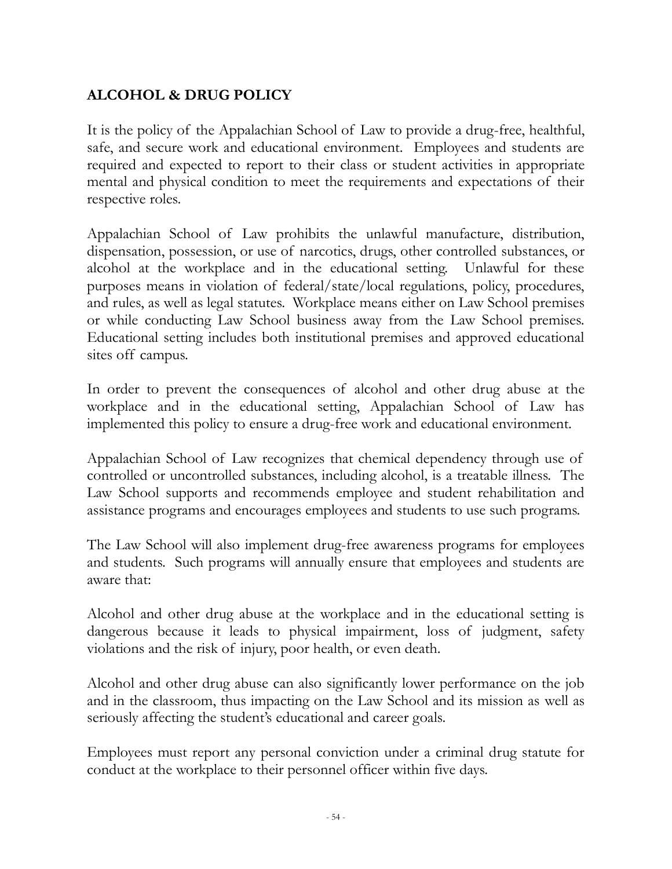# **ALCOHOL & DRUG POLICY**

It is the policy of the Appalachian School of Law to provide a drug-free, healthful, safe, and secure work and educational environment. Employees and students are required and expected to report to their class or student activities in appropriate mental and physical condition to meet the requirements and expectations of their respective roles.

Appalachian School of Law prohibits the unlawful manufacture, distribution, dispensation, possession, or use of narcotics, drugs, other controlled substances, or alcohol at the workplace and in the educational setting. Unlawful for these purposes means in violation of federal/state/local regulations, policy, procedures, and rules, as well as legal statutes. Workplace means either on Law School premises or while conducting Law School business away from the Law School premises. Educational setting includes both institutional premises and approved educational sites off campus.

In order to prevent the consequences of alcohol and other drug abuse at the workplace and in the educational setting, Appalachian School of Law has implemented this policy to ensure a drug-free work and educational environment.

Appalachian School of Law recognizes that chemical dependency through use of controlled or uncontrolled substances, including alcohol, is a treatable illness. The Law School supports and recommends employee and student rehabilitation and assistance programs and encourages employees and students to use such programs.

The Law School will also implement drug-free awareness programs for employees and students. Such programs will annually ensure that employees and students are aware that:

Alcohol and other drug abuse at the workplace and in the educational setting is dangerous because it leads to physical impairment, loss of judgment, safety violations and the risk of injury, poor health, or even death.

Alcohol and other drug abuse can also significantly lower performance on the job and in the classroom, thus impacting on the Law School and its mission as well as seriously affecting the student's educational and career goals.

Employees must report any personal conviction under a criminal drug statute for conduct at the workplace to their personnel officer within five days.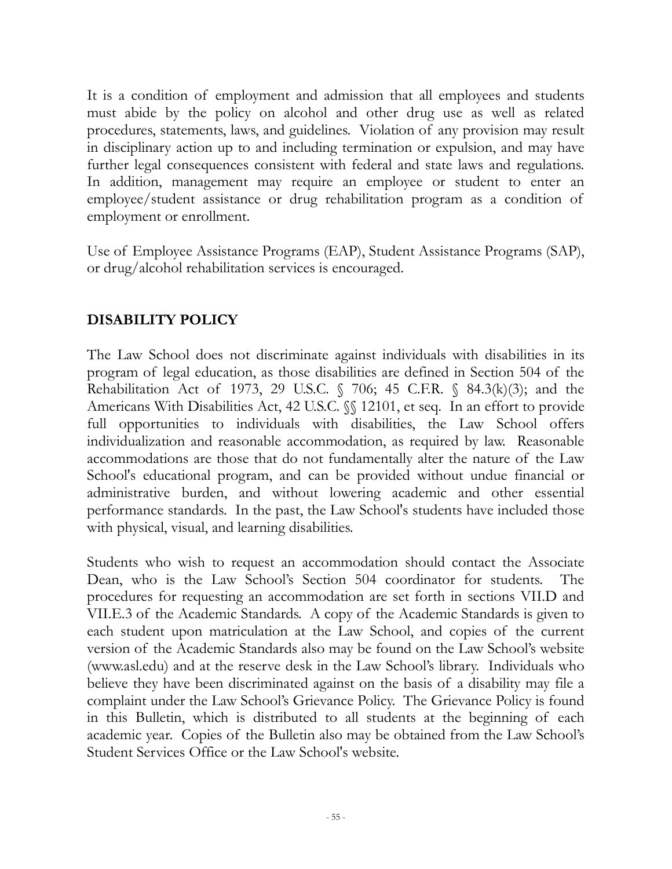It is a condition of employment and admission that all employees and students must abide by the policy on alcohol and other drug use as well as related procedures, statements, laws, and guidelines. Violation of any provision may result in disciplinary action up to and including termination or expulsion, and may have further legal consequences consistent with federal and state laws and regulations. In addition, management may require an employee or student to enter an employee/student assistance or drug rehabilitation program as a condition of employment or enrollment.

Use of Employee Assistance Programs (EAP), Student Assistance Programs (SAP), or drug/alcohol rehabilitation services is encouraged.

# **DISABILITY POLICY**

The Law School does not discriminate against individuals with disabilities in its program of legal education, as those disabilities are defined in Section 504 of the Rehabilitation Act of 1973, 29 U.S.C.  $\frac{6}{3}$  706; 45 C.F.R.  $\frac{6}{3}$  84.3(k)(3); and the Americans With Disabilities Act, 42 U.S.C. §§ 12101, et seq. In an effort to provide full opportunities to individuals with disabilities, the Law School offers individualization and reasonable accommodation, as required by law. Reasonable accommodations are those that do not fundamentally alter the nature of the Law School's educational program, and can be provided without undue financial or administrative burden, and without lowering academic and other essential performance standards. In the past, the Law School's students have included those with physical, visual, and learning disabilities.

Students who wish to request an accommodation should contact the Associate Dean, who is the Law School's Section 504 coordinator for students. The procedures for requesting an accommodation are set forth in sections VII.D and VII.E.3 of the Academic Standards. A copy of the Academic Standards is given to each student upon matriculation at the Law School, and copies of the current version of the Academic Standards also may be found on the Law School's website (www.asl.edu) and at the reserve desk in the Law School's library. Individuals who believe they have been discriminated against on the basis of a disability may file a complaint under the Law School's Grievance Policy. The Grievance Policy is found in this Bulletin, which is distributed to all students at the beginning of each academic year. Copies of the Bulletin also may be obtained from the Law School's Student Services Office or the Law School's website.